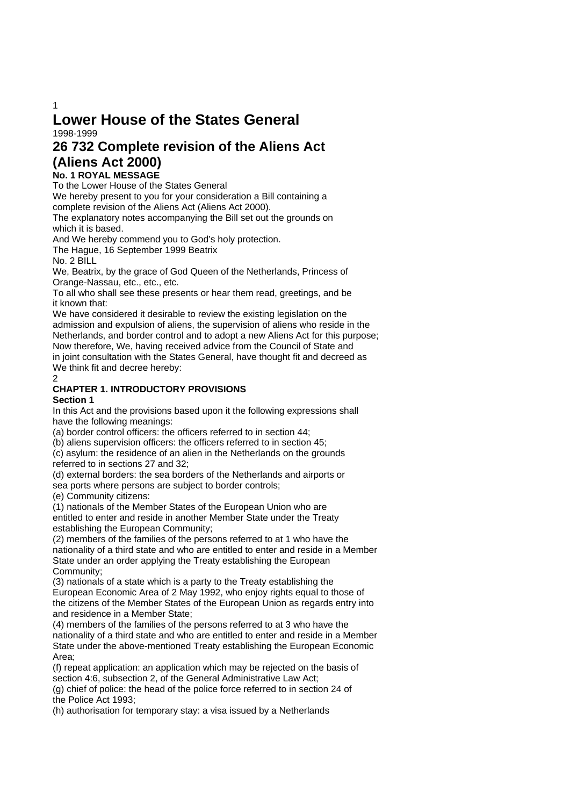# **Lower House of the States General**  1998-1999

# **26 732 Complete revision of the Aliens Act (Aliens Act 2000)**

# **No. 1 ROYAL MESSAGE**

To the Lower House of the States General

We hereby present to you for your consideration a Bill containing a complete revision of the Aliens Act (Aliens Act 2000).

The explanatory notes accompanying the Bill set out the grounds on which it is based.

And We hereby commend you to God's holy protection.

The Hague, 16 September 1999 Beatrix

No. 2 BILL

We, Beatrix, by the grace of God Queen of the Netherlands, Princess of Orange-Nassau, etc., etc., etc.

To all who shall see these presents or hear them read, greetings, and be it known that:

We have considered it desirable to review the existing legislation on the admission and expulsion of aliens, the supervision of aliens who reside in the Netherlands, and border control and to adopt a new Aliens Act for this purpose; Now therefore, We, having received advice from the Council of State and in joint consultation with the States General, have thought fit and decreed as We think fit and decree hereby:

2

# **CHAPTER 1. INTRODUCTORY PROVISIONS**

### **Section 1**

In this Act and the provisions based upon it the following expressions shall have the following meanings:

(a) border control officers: the officers referred to in section 44;

(b) aliens supervision officers: the officers referred to in section 45;

(c) asylum: the residence of an alien in the Netherlands on the grounds referred to in sections 27 and 32;

(d) external borders: the sea borders of the Netherlands and airports or sea ports where persons are subject to border controls;

(e) Community citizens:

(1) nationals of the Member States of the European Union who are entitled to enter and reside in another Member State under the Treaty establishing the European Community;

(2) members of the families of the persons referred to at 1 who have the nationality of a third state and who are entitled to enter and reside in a Member State under an order applying the Treaty establishing the European Community;

(3) nationals of a state which is a party to the Treaty establishing the European Economic Area of 2 May 1992, who enjoy rights equal to those of the citizens of the Member States of the European Union as regards entry into and residence in a Member State;

(4) members of the families of the persons referred to at 3 who have the nationality of a third state and who are entitled to enter and reside in a Member State under the above-mentioned Treaty establishing the European Economic Area;

(f) repeat application: an application which may be rejected on the basis of section 4:6, subsection 2, of the General Administrative Law Act;

(g) chief of police: the head of the police force referred to in section 24 of the Police Act 1993;

(h) authorisation for temporary stay: a visa issued by a Netherlands

1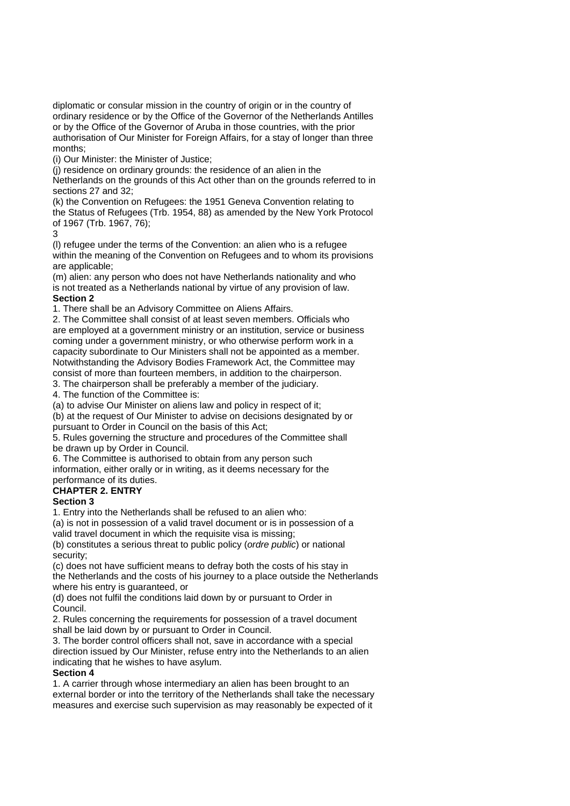diplomatic or consular mission in the country of origin or in the country of ordinary residence or by the Office of the Governor of the Netherlands Antilles or by the Office of the Governor of Aruba in those countries, with the prior authorisation of Our Minister for Foreign Affairs, for a stay of longer than three months;

(i) Our Minister: the Minister of Justice;

(j) residence on ordinary grounds: the residence of an alien in the

Netherlands on the grounds of this Act other than on the grounds referred to in sections 27 and 32;

(k) the Convention on Refugees: the 1951 Geneva Convention relating to the Status of Refugees (Trb. 1954, 88) as amended by the New York Protocol of 1967 (Trb. 1967, 76);

3

(l) refugee under the terms of the Convention: an alien who is a refugee within the meaning of the Convention on Refugees and to whom its provisions are applicable;

(m) alien: any person who does not have Netherlands nationality and who is not treated as a Netherlands national by virtue of any provision of law. **Section 2** 

1. There shall be an Advisory Committee on Aliens Affairs.

2. The Committee shall consist of at least seven members. Officials who are employed at a government ministry or an institution, service or business coming under a government ministry, or who otherwise perform work in a capacity subordinate to Our Ministers shall not be appointed as a member. Notwithstanding the Advisory Bodies Framework Act, the Committee may consist of more than fourteen members, in addition to the chairperson.

3. The chairperson shall be preferably a member of the judiciary.

4. The function of the Committee is:

(a) to advise Our Minister on aliens law and policy in respect of it;

(b) at the request of Our Minister to advise on decisions designated by or pursuant to Order in Council on the basis of this Act;

5. Rules governing the structure and procedures of the Committee shall be drawn up by Order in Council.

6. The Committee is authorised to obtain from any person such information, either orally or in writing, as it deems necessary for the

performance of its duties.

# **CHAPTER 2. ENTRY**

**Section 3** 

1. Entry into the Netherlands shall be refused to an alien who:

(a) is not in possession of a valid travel document or is in possession of a valid travel document in which the requisite visa is missing;

(b) constitutes a serious threat to public policy (*ordre public*) or national security;

(c) does not have sufficient means to defray both the costs of his stay in the Netherlands and the costs of his journey to a place outside the Netherlands where his entry is guaranteed, or

(d) does not fulfil the conditions laid down by or pursuant to Order in Council.

2. Rules concerning the requirements for possession of a travel document shall be laid down by or pursuant to Order in Council.

3. The border control officers shall not, save in accordance with a special direction issued by Our Minister, refuse entry into the Netherlands to an alien indicating that he wishes to have asylum.

### **Section 4**

1. A carrier through whose intermediary an alien has been brought to an external border or into the territory of the Netherlands shall take the necessary measures and exercise such supervision as may reasonably be expected of it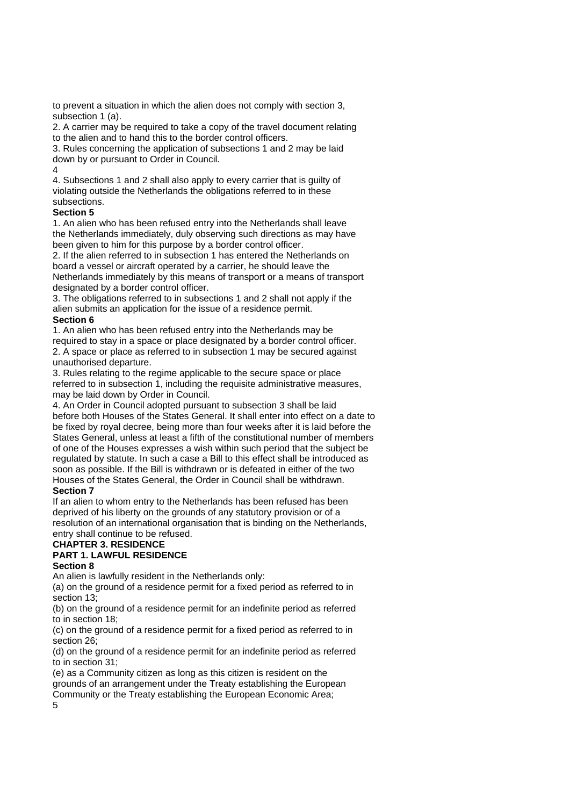to prevent a situation in which the alien does not comply with section 3, subsection 1 (a).

2. A carrier may be required to take a copy of the travel document relating to the alien and to hand this to the border control officers.

3. Rules concerning the application of subsections 1 and 2 may be laid down by or pursuant to Order in Council.

#### $\Delta$

4. Subsections 1 and 2 shall also apply to every carrier that is guilty of violating outside the Netherlands the obligations referred to in these subsections.

### **Section 5**

1. An alien who has been refused entry into the Netherlands shall leave the Netherlands immediately, duly observing such directions as may have been given to him for this purpose by a border control officer.

2. If the alien referred to in subsection 1 has entered the Netherlands on board a vessel or aircraft operated by a carrier, he should leave the Netherlands immediately by this means of transport or a means of transport designated by a border control officer.

3. The obligations referred to in subsections 1 and 2 shall not apply if the alien submits an application for the issue of a residence permit. **Section 6** 

1. An alien who has been refused entry into the Netherlands may be required to stay in a space or place designated by a border control officer. 2. A space or place as referred to in subsection 1 may be secured against unauthorised departure.

3. Rules relating to the regime applicable to the secure space or place referred to in subsection 1, including the requisite administrative measures, may be laid down by Order in Council.

4. An Order in Council adopted pursuant to subsection 3 shall be laid before both Houses of the States General. It shall enter into effect on a date to be fixed by royal decree, being more than four weeks after it is laid before the States General, unless at least a fifth of the constitutional number of members of one of the Houses expresses a wish within such period that the subject be regulated by statute. In such a case a Bill to this effect shall be introduced as soon as possible. If the Bill is withdrawn or is defeated in either of the two Houses of the States General, the Order in Council shall be withdrawn.

### **Section 7**

If an alien to whom entry to the Netherlands has been refused has been deprived of his liberty on the grounds of any statutory provision or of a resolution of an international organisation that is binding on the Netherlands, entry shall continue to be refused.

#### **CHAPTER 3. RESIDENCE PART 1. LAWFUL RESIDENCE**

### **Section 8**

An alien is lawfully resident in the Netherlands only:

(a) on the ground of a residence permit for a fixed period as referred to in section 13;

(b) on the ground of a residence permit for an indefinite period as referred to in section 18;

(c) on the ground of a residence permit for a fixed period as referred to in section 26;

(d) on the ground of a residence permit for an indefinite period as referred to in section 31;

(e) as a Community citizen as long as this citizen is resident on the grounds of an arrangement under the Treaty establishing the European Community or the Treaty establishing the European Economic Area; 5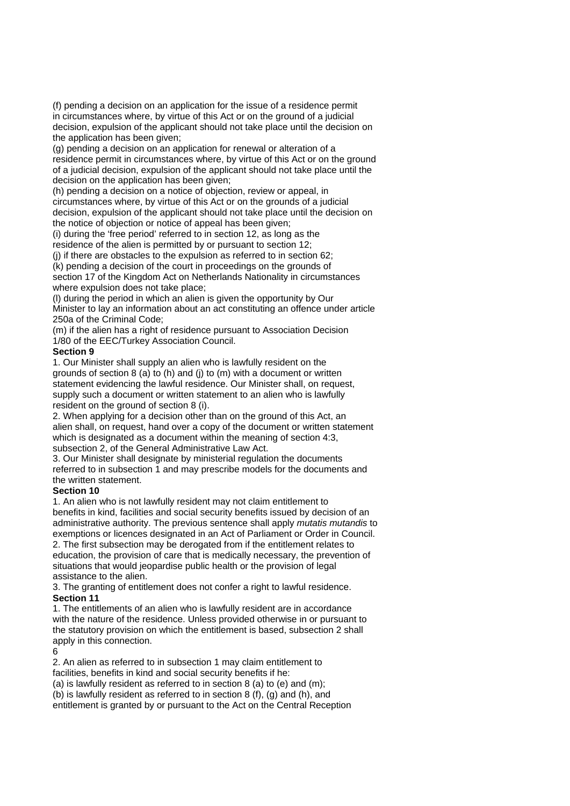(f) pending a decision on an application for the issue of a residence permit in circumstances where, by virtue of this Act or on the ground of a judicial decision, expulsion of the applicant should not take place until the decision on the application has been given;

(g) pending a decision on an application for renewal or alteration of a residence permit in circumstances where, by virtue of this Act or on the ground of a judicial decision, expulsion of the applicant should not take place until the decision on the application has been given;

(h) pending a decision on a notice of objection, review or appeal, in circumstances where, by virtue of this Act or on the grounds of a judicial decision, expulsion of the applicant should not take place until the decision on the notice of objection or notice of appeal has been given;

(i) during the 'free period' referred to in section 12, as long as the residence of the alien is permitted by or pursuant to section 12;

(j) if there are obstacles to the expulsion as referred to in section 62;

(k) pending a decision of the court in proceedings on the grounds of section 17 of the Kingdom Act on Netherlands Nationality in circumstances where expulsion does not take place;

(l) during the period in which an alien is given the opportunity by Our Minister to lay an information about an act constituting an offence under article 250a of the Criminal Code;

(m) if the alien has a right of residence pursuant to Association Decision 1/80 of the EEC/Turkey Association Council.

### **Section 9**

1. Our Minister shall supply an alien who is lawfully resident on the grounds of section  $8$  (a) to (h) and (i) to (m) with a document or written statement evidencing the lawful residence. Our Minister shall, on request, supply such a document or written statement to an alien who is lawfully resident on the ground of section 8 (i).

2. When applying for a decision other than on the ground of this Act, an alien shall, on request, hand over a copy of the document or written statement which is designated as a document within the meaning of section 4:3, subsection 2, of the General Administrative Law Act.

3. Our Minister shall designate by ministerial regulation the documents referred to in subsection 1 and may prescribe models for the documents and the written statement.

#### **Section 10**

1. An alien who is not lawfully resident may not claim entitlement to benefits in kind, facilities and social security benefits issued by decision of an administrative authority. The previous sentence shall apply *mutatis mutandis* to exemptions or licences designated in an Act of Parliament or Order in Council. 2. The first subsection may be derogated from if the entitlement relates to education, the provision of care that is medically necessary, the prevention of

situations that would jeopardise public health or the provision of legal assistance to the alien.

3. The granting of entitlement does not confer a right to lawful residence. **Section 11** 

1. The entitlements of an alien who is lawfully resident are in accordance with the nature of the residence. Unless provided otherwise in or pursuant to the statutory provision on which the entitlement is based, subsection 2 shall apply in this connection.

 $\kappa$ 

2. An alien as referred to in subsection 1 may claim entitlement to facilities, benefits in kind and social security benefits if he:

(a) is lawfully resident as referred to in section 8 (a) to (e) and (m);

(b) is lawfully resident as referred to in section 8 (f), (g) and (h), and entitlement is granted by or pursuant to the Act on the Central Reception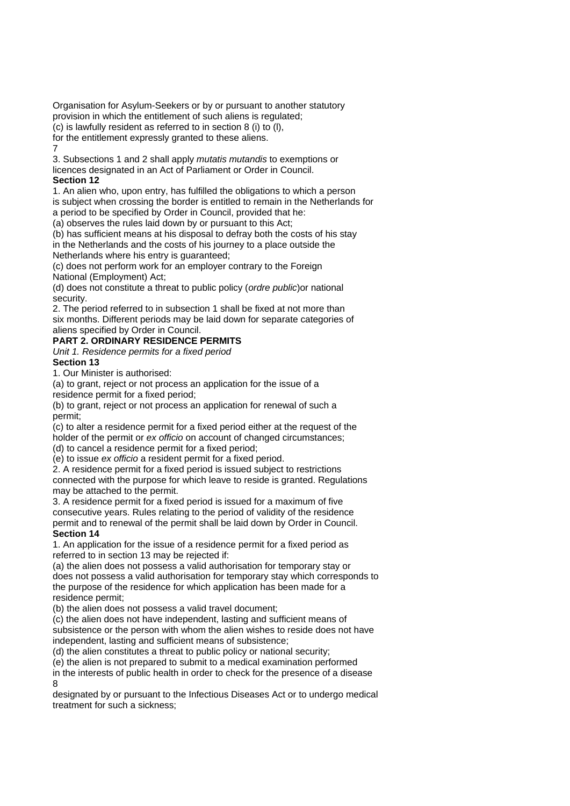Organisation for Asylum-Seekers or by or pursuant to another statutory provision in which the entitlement of such aliens is regulated;  $\overline{c}$  (c) is lawfully resident as referred to in section 8 (i) to (l),

for the entitlement expressly granted to these aliens.

7

3. Subsections 1 and 2 shall apply *mutatis mutandis* to exemptions or licences designated in an Act of Parliament or Order in Council.

### **Section 12**

1. An alien who, upon entry, has fulfilled the obligations to which a person is subject when crossing the border is entitled to remain in the Netherlands for a period to be specified by Order in Council, provided that he:

(a) observes the rules laid down by or pursuant to this Act;

(b) has sufficient means at his disposal to defray both the costs of his stay in the Netherlands and the costs of his journey to a place outside the Netherlands where his entry is guaranteed;

(c) does not perform work for an employer contrary to the Foreign National (Employment) Act;

(d) does not constitute a threat to public policy (*ordre public*)or national security.

2. The period referred to in subsection 1 shall be fixed at not more than six months. Different periods may be laid down for separate categories of aliens specified by Order in Council.

## **PART 2. ORDINARY RESIDENCE PERMITS**

*Unit 1. Residence permits for a fixed period*  **Section 13** 

1. Our Minister is authorised:

(a) to grant, reject or not process an application for the issue of a residence permit for a fixed period;

(b) to grant, reject or not process an application for renewal of such a permit;

(c) to alter a residence permit for a fixed period either at the request of the holder of the permit or *ex officio* on account of changed circumstances;

(d) to cancel a residence permit for a fixed period;

(e) to issue *ex officio* a resident permit for a fixed period.

2. A residence permit for a fixed period is issued subject to restrictions connected with the purpose for which leave to reside is granted. Regulations

may be attached to the permit.

3. A residence permit for a fixed period is issued for a maximum of five consecutive years. Rules relating to the period of validity of the residence permit and to renewal of the permit shall be laid down by Order in Council.

## **Section 14**

1. An application for the issue of a residence permit for a fixed period as referred to in section 13 may be rejected if:

(a) the alien does not possess a valid authorisation for temporary stay or does not possess a valid authorisation for temporary stay which corresponds to the purpose of the residence for which application has been made for a residence permit;

(b) the alien does not possess a valid travel document;

(c) the alien does not have independent, lasting and sufficient means of subsistence or the person with whom the alien wishes to reside does not have independent, lasting and sufficient means of subsistence;

(d) the alien constitutes a threat to public policy or national security;

(e) the alien is not prepared to submit to a medical examination performed

in the interests of public health in order to check for the presence of a disease 8

designated by or pursuant to the Infectious Diseases Act or to undergo medical treatment for such a sickness;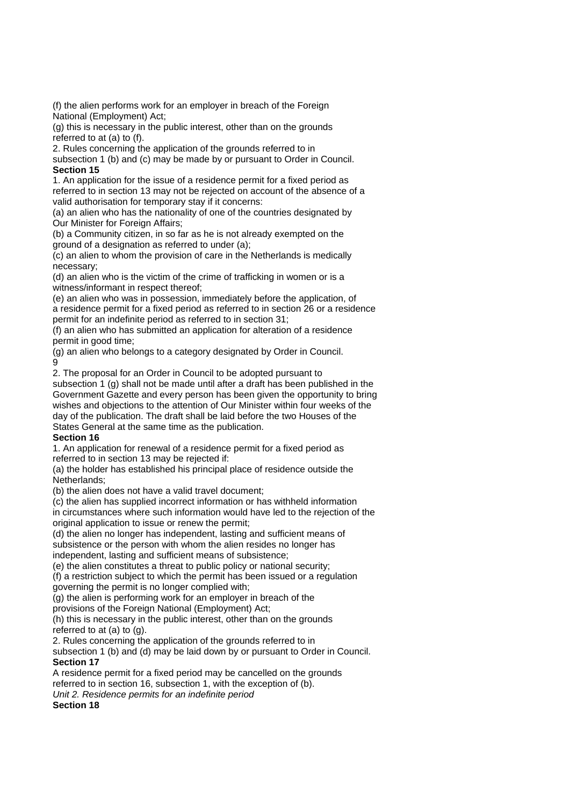(f) the alien performs work for an employer in breach of the Foreign National (Employment) Act;

(g) this is necessary in the public interest, other than on the grounds referred to at (a) to (f).

2. Rules concerning the application of the grounds referred to in

subsection 1 (b) and (c) may be made by or pursuant to Order in Council. **Section 15** 

1. An application for the issue of a residence permit for a fixed period as referred to in section 13 may not be rejected on account of the absence of a valid authorisation for temporary stay if it concerns:

(a) an alien who has the nationality of one of the countries designated by Our Minister for Foreign Affairs;

(b) a Community citizen, in so far as he is not already exempted on the ground of a designation as referred to under (a);

(c) an alien to whom the provision of care in the Netherlands is medically necessary;

(d) an alien who is the victim of the crime of trafficking in women or is a witness/informant in respect thereof;

(e) an alien who was in possession, immediately before the application, of a residence permit for a fixed period as referred to in section 26 or a residence permit for an indefinite period as referred to in section 31;

(f) an alien who has submitted an application for alteration of a residence permit in good time;

(g) an alien who belongs to a category designated by Order in Council. 9

2. The proposal for an Order in Council to be adopted pursuant to

subsection 1 (g) shall not be made until after a draft has been published in the Government Gazette and every person has been given the opportunity to bring wishes and objections to the attention of Our Minister within four weeks of the day of the publication. The draft shall be laid before the two Houses of the States General at the same time as the publication.

### **Section 16**

1. An application for renewal of a residence permit for a fixed period as referred to in section 13 may be rejected if:

(a) the holder has established his principal place of residence outside the Netherlands;

(b) the alien does not have a valid travel document;

(c) the alien has supplied incorrect information or has withheld information in circumstances where such information would have led to the rejection of the original application to issue or renew the permit;

(d) the alien no longer has independent, lasting and sufficient means of subsistence or the person with whom the alien resides no longer has independent, lasting and sufficient means of subsistence;

(e) the alien constitutes a threat to public policy or national security;

(f) a restriction subject to which the permit has been issued or a regulation governing the permit is no longer complied with;

(g) the alien is performing work for an employer in breach of the

provisions of the Foreign National (Employment) Act;

(h) this is necessary in the public interest, other than on the grounds referred to at (a) to (g).

2. Rules concerning the application of the grounds referred to in

subsection 1 (b) and (d) may be laid down by or pursuant to Order in Council. **Section 17** 

A residence permit for a fixed period may be cancelled on the grounds referred to in section 16, subsection 1, with the exception of (b). *Unit 2. Residence permits for an indefinite period* 

**Section 18**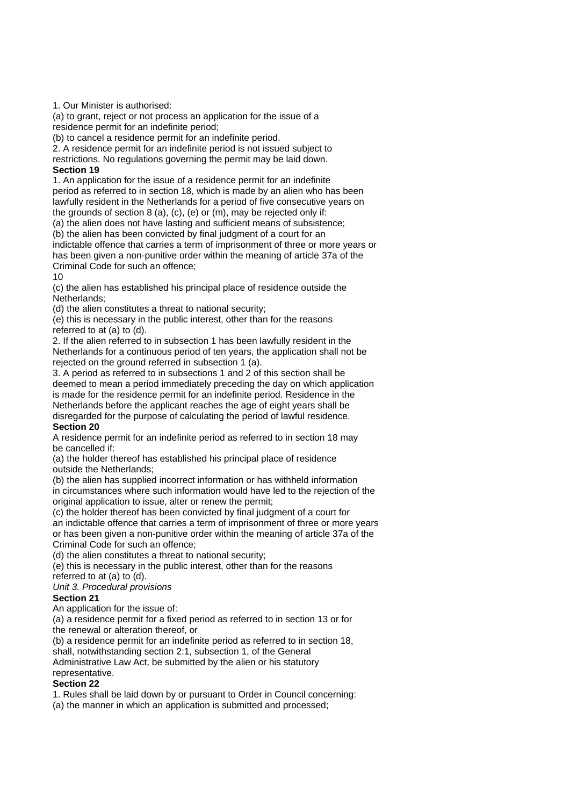1. Our Minister is authorised:

(a) to grant, reject or not process an application for the issue of a residence permit for an indefinite period;

(b) to cancel a residence permit for an indefinite period.

2. A residence permit for an indefinite period is not issued subject to restrictions. No regulations governing the permit may be laid down.

### **Section 19**

1. An application for the issue of a residence permit for an indefinite period as referred to in section 18, which is made by an alien who has been lawfully resident in the Netherlands for a period of five consecutive years on the grounds of section 8 (a), (c), (e) or (m), may be rejected only if:

(a) the alien does not have lasting and sufficient means of subsistence;

(b) the alien has been convicted by final judgment of a court for an

indictable offence that carries a term of imprisonment of three or more years or has been given a non-punitive order within the meaning of article 37a of the Criminal Code for such an offence;

10

(c) the alien has established his principal place of residence outside the Netherlands;

(d) the alien constitutes a threat to national security;

(e) this is necessary in the public interest, other than for the reasons referred to at (a) to (d).

2. If the alien referred to in subsection 1 has been lawfully resident in the Netherlands for a continuous period of ten years, the application shall not be rejected on the ground referred in subsection 1 (a).

3. A period as referred to in subsections 1 and 2 of this section shall be deemed to mean a period immediately preceding the day on which application is made for the residence permit for an indefinite period. Residence in the Netherlands before the applicant reaches the age of eight years shall be disregarded for the purpose of calculating the period of lawful residence.

### **Section 20**

A residence permit for an indefinite period as referred to in section 18 may be cancelled if:

(a) the holder thereof has established his principal place of residence outside the Netherlands;

(b) the alien has supplied incorrect information or has withheld information in circumstances where such information would have led to the rejection of the original application to issue, alter or renew the permit:

(c) the holder thereof has been convicted by final judgment of a court for an indictable offence that carries a term of imprisonment of three or more years or has been given a non-punitive order within the meaning of article 37a of the Criminal Code for such an offence;

(d) the alien constitutes a threat to national security;

(e) this is necessary in the public interest, other than for the reasons referred to at (a) to (d).

*Unit 3. Procedural provisions* 

## **Section 21**

An application for the issue of:

(a) a residence permit for a fixed period as referred to in section 13 or for the renewal or alteration thereof, or

(b) a residence permit for an indefinite period as referred to in section 18, shall, notwithstanding section 2:1, subsection 1, of the General

Administrative Law Act, be submitted by the alien or his statutory representative.

### **Section 22**

1. Rules shall be laid down by or pursuant to Order in Council concerning:

(a) the manner in which an application is submitted and processed;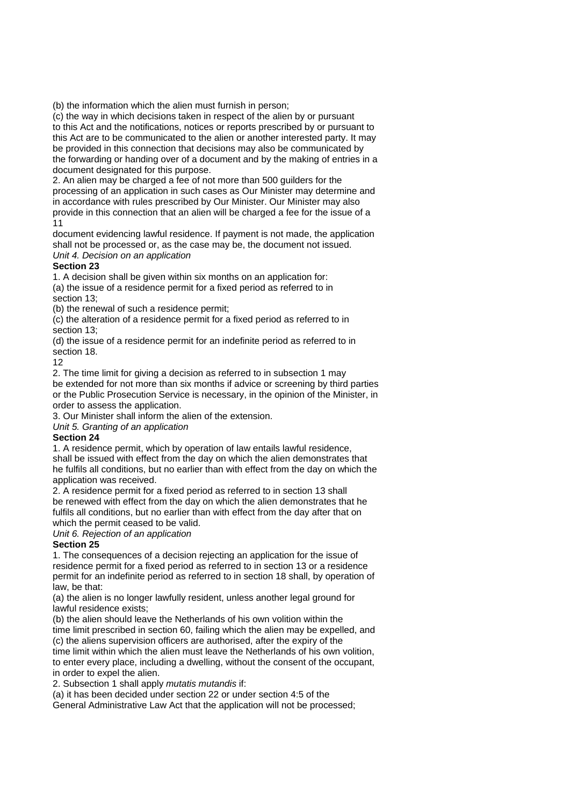(b) the information which the alien must furnish in person;

(c) the way in which decisions taken in respect of the alien by or pursuant to this Act and the notifications, notices or reports prescribed by or pursuant to this Act are to be communicated to the alien or another interested party. It may be provided in this connection that decisions may also be communicated by the forwarding or handing over of a document and by the making of entries in a document designated for this purpose.

2. An alien may be charged a fee of not more than 500 guilders for the processing of an application in such cases as Our Minister may determine and in accordance with rules prescribed by Our Minister. Our Minister may also provide in this connection that an alien will be charged a fee for the issue of a 11

document evidencing lawful residence. If payment is not made, the application shall not be processed or, as the case may be, the document not issued. *Unit 4. Decision on an application* 

### **Section 23**

1. A decision shall be given within six months on an application for: (a) the issue of a residence permit for a fixed period as referred to in section 13;

(b) the renewal of such a residence permit;

(c) the alteration of a residence permit for a fixed period as referred to in section 13;

(d) the issue of a residence permit for an indefinite period as referred to in section 18.

12

2. The time limit for giving a decision as referred to in subsection 1 may be extended for not more than six months if advice or screening by third parties or the Public Prosecution Service is necessary, in the opinion of the Minister, in order to assess the application.

3. Our Minister shall inform the alien of the extension.

*Unit 5. Granting of an application* 

### **Section 24**

1. A residence permit, which by operation of law entails lawful residence, shall be issued with effect from the day on which the alien demonstrates that he fulfils all conditions, but no earlier than with effect from the day on which the application was received.

2. A residence permit for a fixed period as referred to in section 13 shall be renewed with effect from the day on which the alien demonstrates that he fulfils all conditions, but no earlier than with effect from the day after that on which the permit ceased to be valid.

*Unit 6. Rejection of an application* 

## **Section 25**

1. The consequences of a decision rejecting an application for the issue of residence permit for a fixed period as referred to in section 13 or a residence permit for an indefinite period as referred to in section 18 shall, by operation of law, be that:

(a) the alien is no longer lawfully resident, unless another legal ground for lawful residence exists;

(b) the alien should leave the Netherlands of his own volition within the time limit prescribed in section 60, failing which the alien may be expelled, and (c) the aliens supervision officers are authorised, after the expiry of the time limit within which the alien must leave the Netherlands of his own volition,

to enter every place, including a dwelling, without the consent of the occupant, in order to expel the alien.

2. Subsection 1 shall apply *mutatis mutandis* if:

(a) it has been decided under section 22 or under section 4:5 of the

General Administrative Law Act that the application will not be processed;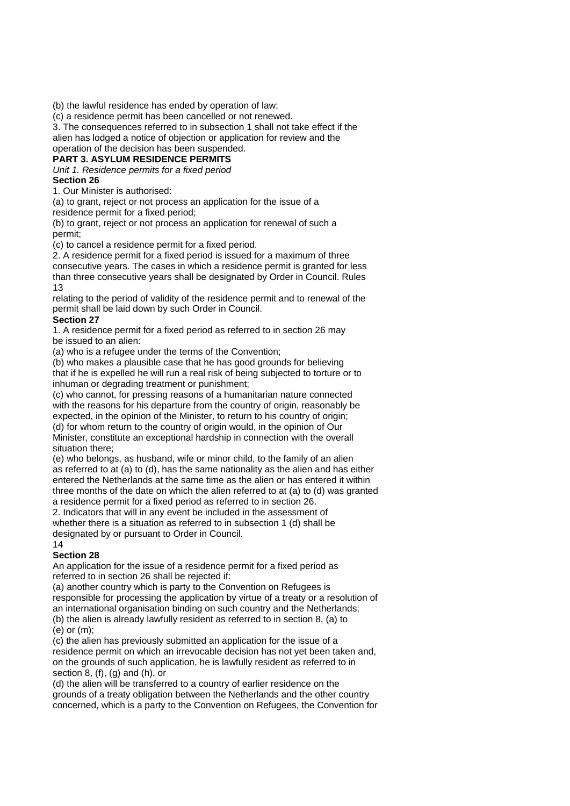(b) the lawful residence has ended by operation of law;

(c) a residence permit has been cancelled or not renewed.

3. The consequences referred to in subsection 1 shall not take effect if the alien has lodged a notice of objection or application for review and the operation of the decision has been suspended.

## **PART 3. ASYLUM RESIDENCE PERMITS**

*Unit 1. Residence permits for a fixed period*  **Section 26** 

1. Our Minister is authorised:

(a) to grant, reject or not process an application for the issue of a residence permit for a fixed period;

(b) to grant, reject or not process an application for renewal of such a permit;

(c) to cancel a residence permit for a fixed period.

2. A residence permit for a fixed period is issued for a maximum of three consecutive years. The cases in which a residence permit is granted for less

than three consecutive years shall be designated by Order in Council. Rules 13

relating to the period of validity of the residence permit and to renewal of the permit shall be laid down by such Order in Council.

### **Section 27**

1. A residence permit for a fixed period as referred to in section 26 may be issued to an alien:

(a) who is a refugee under the terms of the Convention;

(b) who makes a plausible case that he has good grounds for believing that if he is expelled he will run a real risk of being subjected to torture or to inhuman or degrading treatment or punishment;

(c) who cannot, for pressing reasons of a humanitarian nature connected with the reasons for his departure from the country of origin, reasonably be expected, in the opinion of the Minister, to return to his country of origin; (d) for whom return to the country of origin would, in the opinion of Our Minister, constitute an exceptional hardship in connection with the overall

situation there;

(e) who belongs, as husband, wife or minor child, to the family of an alien as referred to at (a) to (d), has the same nationality as the alien and has either entered the Netherlands at the same time as the alien or has entered it within three months of the date on which the alien referred to at (a) to (d) was granted a residence permit for a fixed period as referred to in section 26.

2. Indicators that will in any event be included in the assessment of whether there is a situation as referred to in subsection 1 (d) shall be designated by or pursuant to Order in Council.

### 14

## **Section 28**

An application for the issue of a residence permit for a fixed period as referred to in section 26 shall be rejected if:

(a) another country which is party to the Convention on Refugees is responsible for processing the application by virtue of a treaty or a resolution of an international organisation binding on such country and the Netherlands; (b) the alien is already lawfully resident as referred to in section 8, (a) to (e) or (m);

(c) the alien has previously submitted an application for the issue of a residence permit on which an irrevocable decision has not yet been taken and, on the grounds of such application, he is lawfully resident as referred to in section 8, (f), (g) and (h), or

(d) the alien will be transferred to a country of earlier residence on the grounds of a treaty obligation between the Netherlands and the other country concerned, which is a party to the Convention on Refugees, the Convention for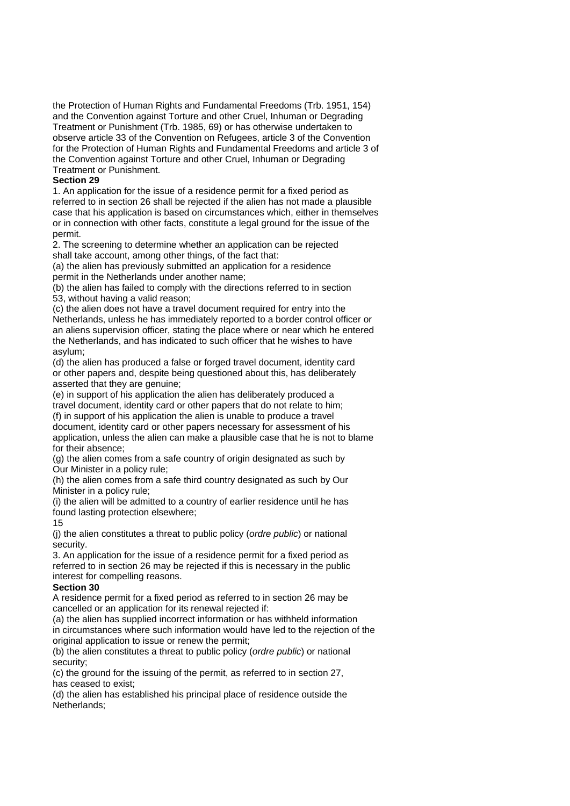the Protection of Human Rights and Fundamental Freedoms (Trb. 1951, 154) and the Convention against Torture and other Cruel, Inhuman or Degrading Treatment or Punishment (Trb. 1985, 69) or has otherwise undertaken to observe article 33 of the Convention on Refugees, article 3 of the Convention for the Protection of Human Rights and Fundamental Freedoms and article 3 of the Convention against Torture and other Cruel, Inhuman or Degrading Treatment or Punishment.

### **Section 29**

1. An application for the issue of a residence permit for a fixed period as referred to in section 26 shall be rejected if the alien has not made a plausible case that his application is based on circumstances which, either in themselves or in connection with other facts, constitute a legal ground for the issue of the permit.

2. The screening to determine whether an application can be rejected shall take account, among other things, of the fact that:

(a) the alien has previously submitted an application for a residence permit in the Netherlands under another name;

(b) the alien has failed to comply with the directions referred to in section 53, without having a valid reason;

(c) the alien does not have a travel document required for entry into the Netherlands, unless he has immediately reported to a border control officer or an aliens supervision officer, stating the place where or near which he entered the Netherlands, and has indicated to such officer that he wishes to have asylum;

(d) the alien has produced a false or forged travel document, identity card or other papers and, despite being questioned about this, has deliberately asserted that they are genuine;

(e) in support of his application the alien has deliberately produced a travel document, identity card or other papers that do not relate to him; (f) in support of his application the alien is unable to produce a travel document, identity card or other papers necessary for assessment of his application, unless the alien can make a plausible case that he is not to blame for their absence;

(g) the alien comes from a safe country of origin designated as such by Our Minister in a policy rule;

(h) the alien comes from a safe third country designated as such by Our Minister in a policy rule;

(i) the alien will be admitted to a country of earlier residence until he has found lasting protection elsewhere;

#### 15

(j) the alien constitutes a threat to public policy (*ordre public*) or national security.

3. An application for the issue of a residence permit for a fixed period as referred to in section 26 may be rejected if this is necessary in the public interest for compelling reasons.

#### **Section 30**

A residence permit for a fixed period as referred to in section 26 may be cancelled or an application for its renewal rejected if:

(a) the alien has supplied incorrect information or has withheld information in circumstances where such information would have led to the rejection of the original application to issue or renew the permit;

(b) the alien constitutes a threat to public policy (*ordre public*) or national security;

(c) the ground for the issuing of the permit, as referred to in section 27, has ceased to exist;

(d) the alien has established his principal place of residence outside the Netherlands;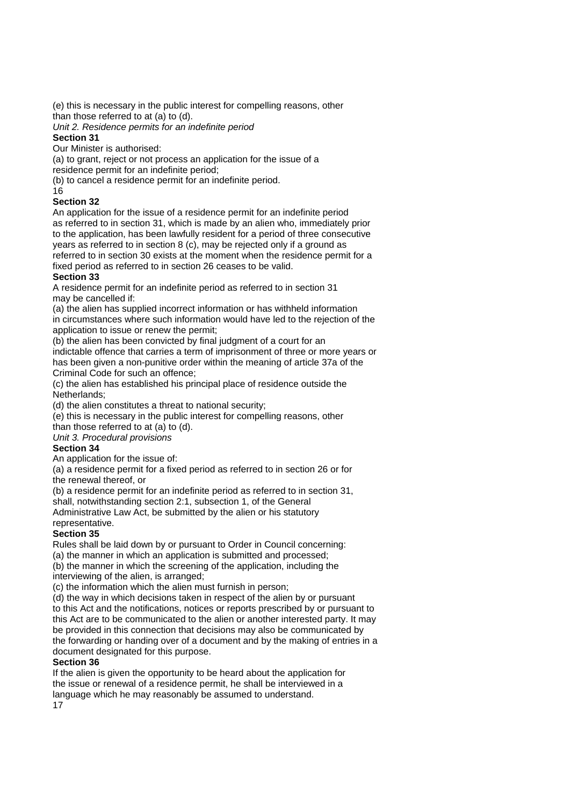(e) this is necessary in the public interest for compelling reasons, other than those referred to at (a) to (d).

*Unit 2. Residence permits for an indefinite period* 

### **Section 31**

Our Minister is authorised:

(a) to grant, reject or not process an application for the issue of a

residence permit for an indefinite period;

(b) to cancel a residence permit for an indefinite period.

16

### **Section 32**

An application for the issue of a residence permit for an indefinite period as referred to in section 31, which is made by an alien who, immediately prior to the application, has been lawfully resident for a period of three consecutive years as referred to in section 8 (c), may be rejected only if a ground as referred to in section 30 exists at the moment when the residence permit for a fixed period as referred to in section 26 ceases to be valid.

### **Section 33**

A residence permit for an indefinite period as referred to in section 31 may be cancelled if:

(a) the alien has supplied incorrect information or has withheld information in circumstances where such information would have led to the rejection of the application to issue or renew the permit;

(b) the alien has been convicted by final judgment of a court for an

indictable offence that carries a term of imprisonment of three or more years or has been given a non-punitive order within the meaning of article 37a of the Criminal Code for such an offence;

(c) the alien has established his principal place of residence outside the Netherlands;

(d) the alien constitutes a threat to national security;

(e) this is necessary in the public interest for compelling reasons, other

than those referred to at (a) to (d). *Unit 3. Procedural provisions* 

## **Section 34**

An application for the issue of:

(a) a residence permit for a fixed period as referred to in section 26 or for the renewal thereof, or

(b) a residence permit for an indefinite period as referred to in section 31, shall, notwithstanding section 2:1, subsection 1, of the General

Administrative Law Act, be submitted by the alien or his statutory

representative.

## **Section 35**

Rules shall be laid down by or pursuant to Order in Council concerning:

(a) the manner in which an application is submitted and processed;

(b) the manner in which the screening of the application, including the interviewing of the alien, is arranged;

(c) the information which the alien must furnish in person;

(d) the way in which decisions taken in respect of the alien by or pursuant to this Act and the notifications, notices or reports prescribed by or pursuant to this Act are to be communicated to the alien or another interested party. It may be provided in this connection that decisions may also be communicated by the forwarding or handing over of a document and by the making of entries in a document designated for this purpose.

### **Section 36**

If the alien is given the opportunity to be heard about the application for the issue or renewal of a residence permit, he shall be interviewed in a language which he may reasonably be assumed to understand. 17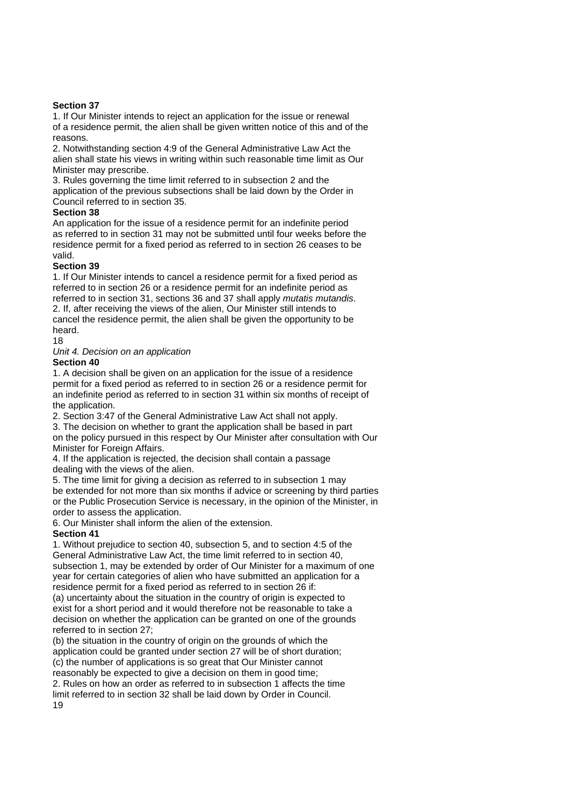### **Section 37**

1. If Our Minister intends to reject an application for the issue or renewal of a residence permit, the alien shall be given written notice of this and of the reasons.

2. Notwithstanding section 4:9 of the General Administrative Law Act the alien shall state his views in writing within such reasonable time limit as Our Minister may prescribe.

3. Rules governing the time limit referred to in subsection 2 and the application of the previous subsections shall be laid down by the Order in Council referred to in section 35.

### **Section 38**

An application for the issue of a residence permit for an indefinite period as referred to in section 31 may not be submitted until four weeks before the residence permit for a fixed period as referred to in section 26 ceases to be valid.

### **Section 39**

1. If Our Minister intends to cancel a residence permit for a fixed period as referred to in section 26 or a residence permit for an indefinite period as referred to in section 31, sections 36 and 37 shall apply *mutatis mutandis*. 2. If, after receiving the views of the alien, Our Minister still intends to cancel the residence permit, the alien shall be given the opportunity to be heard.

18

*Unit 4. Decision on an application* 

**Section 40** 

1. A decision shall be given on an application for the issue of a residence permit for a fixed period as referred to in section 26 or a residence permit for an indefinite period as referred to in section 31 within six months of receipt of the application.

2. Section 3:47 of the General Administrative Law Act shall not apply.

3. The decision on whether to grant the application shall be based in part on the policy pursued in this respect by Our Minister after consultation with Our Minister for Foreign Affairs.

4. If the application is rejected, the decision shall contain a passage dealing with the views of the alien.

5. The time limit for giving a decision as referred to in subsection 1 may be extended for not more than six months if advice or screening by third parties or the Public Prosecution Service is necessary, in the opinion of the Minister, in order to assess the application.

6. Our Minister shall inform the alien of the extension.

### **Section 41**

1. Without prejudice to section 40, subsection 5, and to section 4:5 of the General Administrative Law Act, the time limit referred to in section 40, subsection 1, may be extended by order of Our Minister for a maximum of one year for certain categories of alien who have submitted an application for a residence permit for a fixed period as referred to in section 26 if:

(a) uncertainty about the situation in the country of origin is expected to exist for a short period and it would therefore not be reasonable to take a decision on whether the application can be granted on one of the grounds referred to in section 27;

(b) the situation in the country of origin on the grounds of which the application could be granted under section 27 will be of short duration; (c) the number of applications is so great that Our Minister cannot reasonably be expected to give a decision on them in good time; 2. Rules on how an order as referred to in subsection 1 affects the time limit referred to in section 32 shall be laid down by Order in Council.

19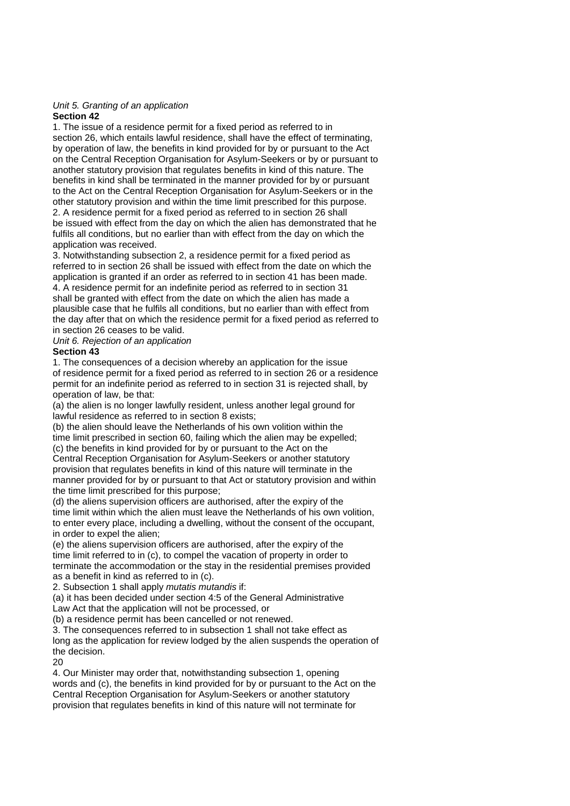#### *Unit 5. Granting of an application*  **Section 42**

1. The issue of a residence permit for a fixed period as referred to in section 26, which entails lawful residence, shall have the effect of terminating. by operation of law, the benefits in kind provided for by or pursuant to the Act on the Central Reception Organisation for Asylum-Seekers or by or pursuant to another statutory provision that regulates benefits in kind of this nature. The benefits in kind shall be terminated in the manner provided for by or pursuant to the Act on the Central Reception Organisation for Asylum-Seekers or in the other statutory provision and within the time limit prescribed for this purpose. 2. A residence permit for a fixed period as referred to in section 26 shall be issued with effect from the day on which the alien has demonstrated that he fulfils all conditions, but no earlier than with effect from the day on which the application was received.

3. Notwithstanding subsection 2, a residence permit for a fixed period as referred to in section 26 shall be issued with effect from the date on which the application is granted if an order as referred to in section 41 has been made. 4. A residence permit for an indefinite period as referred to in section 31 shall be granted with effect from the date on which the alien has made a plausible case that he fulfils all conditions, but no earlier than with effect from the day after that on which the residence permit for a fixed period as referred to in section 26 ceases to be valid.

*Unit 6. Rejection of an application* 

### **Section 43**

1. The consequences of a decision whereby an application for the issue of residence permit for a fixed period as referred to in section 26 or a residence permit for an indefinite period as referred to in section 31 is rejected shall, by operation of law, be that:

(a) the alien is no longer lawfully resident, unless another legal ground for lawful residence as referred to in section 8 exists;

(b) the alien should leave the Netherlands of his own volition within the time limit prescribed in section 60, failing which the alien may be expelled; (c) the benefits in kind provided for by or pursuant to the Act on the Central Reception Organisation for Asylum-Seekers or another statutory

provision that regulates benefits in kind of this nature will terminate in the manner provided for by or pursuant to that Act or statutory provision and within the time limit prescribed for this purpose;

(d) the aliens supervision officers are authorised, after the expiry of the time limit within which the alien must leave the Netherlands of his own volition, to enter every place, including a dwelling, without the consent of the occupant, in order to expel the alien;

(e) the aliens supervision officers are authorised, after the expiry of the time limit referred to in (c), to compel the vacation of property in order to terminate the accommodation or the stay in the residential premises provided as a benefit in kind as referred to in (c).

2. Subsection 1 shall apply *mutatis mutandis* if:

(a) it has been decided under section 4:5 of the General Administrative Law Act that the application will not be processed, or

(b) a residence permit has been cancelled or not renewed.

3. The consequences referred to in subsection 1 shall not take effect as long as the application for review lodged by the alien suspends the operation of the decision.

 $20$ 

4. Our Minister may order that, notwithstanding subsection 1, opening words and (c), the benefits in kind provided for by or pursuant to the Act on the Central Reception Organisation for Asylum-Seekers or another statutory provision that regulates benefits in kind of this nature will not terminate for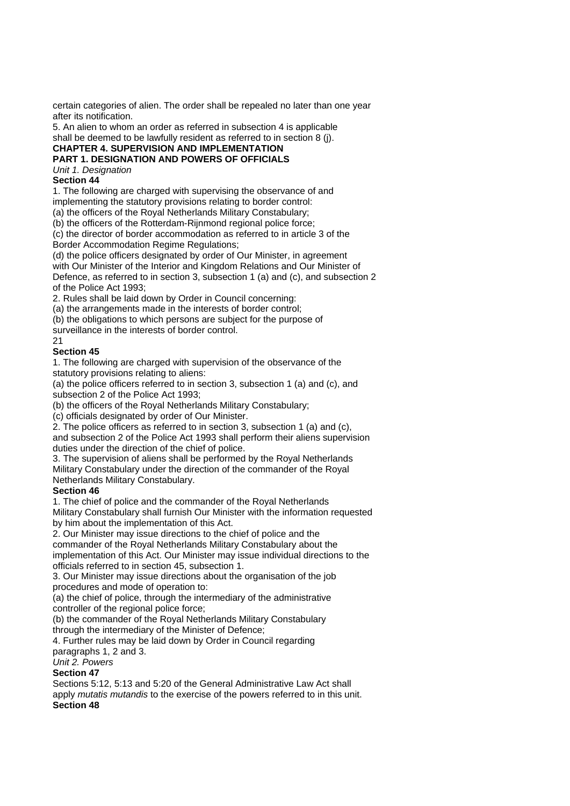certain categories of alien. The order shall be repealed no later than one year after its notification.

5. An alien to whom an order as referred in subsection 4 is applicable shall be deemed to be lawfully resident as referred to in section 8 (j).

# **CHAPTER 4. SUPERVISION AND IMPLEMENTATION**

# **PART 1. DESIGNATION AND POWERS OF OFFICIALS**

*Unit 1. Designation* 

## **Section 44**

1. The following are charged with supervising the observance of and implementing the statutory provisions relating to border control:

(a) the officers of the Royal Netherlands Military Constabulary;

(b) the officers of the Rotterdam-Rijnmond regional police force;

(c) the director of border accommodation as referred to in article 3 of the Border Accommodation Regime Regulations;

(d) the police officers designated by order of Our Minister, in agreement with Our Minister of the Interior and Kingdom Relations and Our Minister of Defence, as referred to in section 3, subsection 1 (a) and (c), and subsection 2 of the Police Act 1993;

2. Rules shall be laid down by Order in Council concerning:

(a) the arrangements made in the interests of border control;

(b) the obligations to which persons are subject for the purpose of

surveillance in the interests of border control.

### 21

### **Section 45**

1. The following are charged with supervision of the observance of the statutory provisions relating to aliens:

(a) the police officers referred to in section 3, subsection 1 (a) and (c), and subsection 2 of the Police Act 1993;

(b) the officers of the Royal Netherlands Military Constabulary;

(c) officials designated by order of Our Minister.

2. The police officers as referred to in section 3, subsection 1 (a) and (c), and subsection 2 of the Police Act 1993 shall perform their aliens supervision duties under the direction of the chief of police.

3. The supervision of aliens shall be performed by the Royal Netherlands Military Constabulary under the direction of the commander of the Royal Netherlands Military Constabulary.

### **Section 46**

1. The chief of police and the commander of the Royal Netherlands Military Constabulary shall furnish Our Minister with the information requested

by him about the implementation of this Act.

2. Our Minister may issue directions to the chief of police and the

commander of the Royal Netherlands Military Constabulary about the implementation of this Act. Our Minister may issue individual directions to the officials referred to in section 45, subsection 1.

3. Our Minister may issue directions about the organisation of the job procedures and mode of operation to:

(a) the chief of police, through the intermediary of the administrative controller of the regional police force;

(b) the commander of the Royal Netherlands Military Constabulary through the intermediary of the Minister of Defence;

4. Further rules may be laid down by Order in Council regarding paragraphs 1, 2 and 3.

*Unit 2. Powers* 

### **Section 47**

Sections 5:12, 5:13 and 5:20 of the General Administrative Law Act shall apply *mutatis mutandis* to the exercise of the powers referred to in this unit. **Section 48**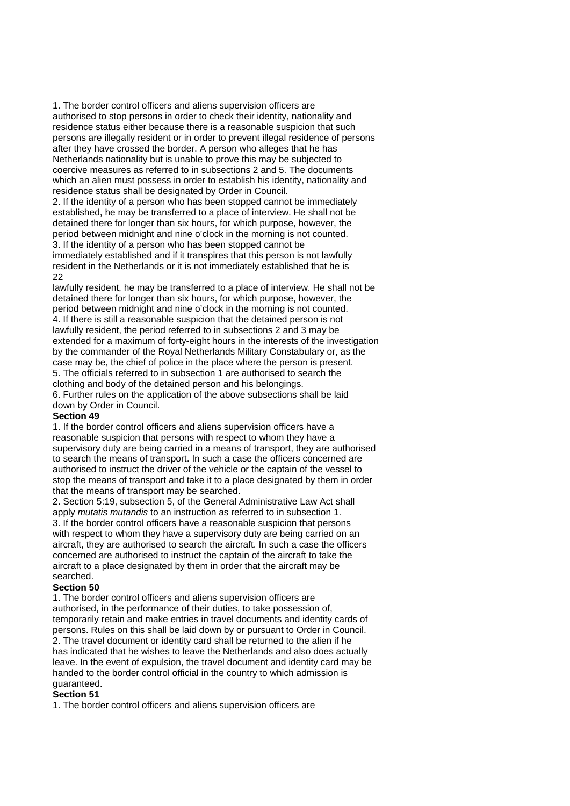1. The border control officers and aliens supervision officers are authorised to stop persons in order to check their identity, nationality and residence status either because there is a reasonable suspicion that such persons are illegally resident or in order to prevent illegal residence of persons after they have crossed the border. A person who alleges that he has Netherlands nationality but is unable to prove this may be subjected to coercive measures as referred to in subsections 2 and 5. The documents which an alien must possess in order to establish his identity, nationality and residence status shall be designated by Order in Council.

2. If the identity of a person who has been stopped cannot be immediately established, he may be transferred to a place of interview. He shall not be detained there for longer than six hours, for which purpose, however, the period between midnight and nine o'clock in the morning is not counted. 3. If the identity of a person who has been stopped cannot be immediately established and if it transpires that this person is not lawfully resident in the Netherlands or it is not immediately established that he is 22

lawfully resident, he may be transferred to a place of interview. He shall not be detained there for longer than six hours, for which purpose, however, the period between midnight and nine o'clock in the morning is not counted. 4. If there is still a reasonable suspicion that the detained person is not lawfully resident, the period referred to in subsections 2 and 3 may be extended for a maximum of forty-eight hours in the interests of the investigation by the commander of the Royal Netherlands Military Constabulary or, as the case may be, the chief of police in the place where the person is present. 5. The officials referred to in subsection 1 are authorised to search the clothing and body of the detained person and his belongings. 6. Further rules on the application of the above subsections shall be laid down by Order in Council.

#### **Section 49**

1. If the border control officers and aliens supervision officers have a reasonable suspicion that persons with respect to whom they have a supervisory duty are being carried in a means of transport, they are authorised to search the means of transport. In such a case the officers concerned are authorised to instruct the driver of the vehicle or the captain of the vessel to stop the means of transport and take it to a place designated by them in order that the means of transport may be searched.

2. Section 5:19, subsection 5, of the General Administrative Law Act shall apply *mutatis mutandis* to an instruction as referred to in subsection 1. 3. If the border control officers have a reasonable suspicion that persons with respect to whom they have a supervisory duty are being carried on an aircraft, they are authorised to search the aircraft. In such a case the officers concerned are authorised to instruct the captain of the aircraft to take the aircraft to a place designated by them in order that the aircraft may be searched.

### **Section 50**

1. The border control officers and aliens supervision officers are authorised, in the performance of their duties, to take possession of, temporarily retain and make entries in travel documents and identity cards of persons. Rules on this shall be laid down by or pursuant to Order in Council. 2. The travel document or identity card shall be returned to the alien if he has indicated that he wishes to leave the Netherlands and also does actually leave. In the event of expulsion, the travel document and identity card may be handed to the border control official in the country to which admission is guaranteed.

### **Section 51**

1. The border control officers and aliens supervision officers are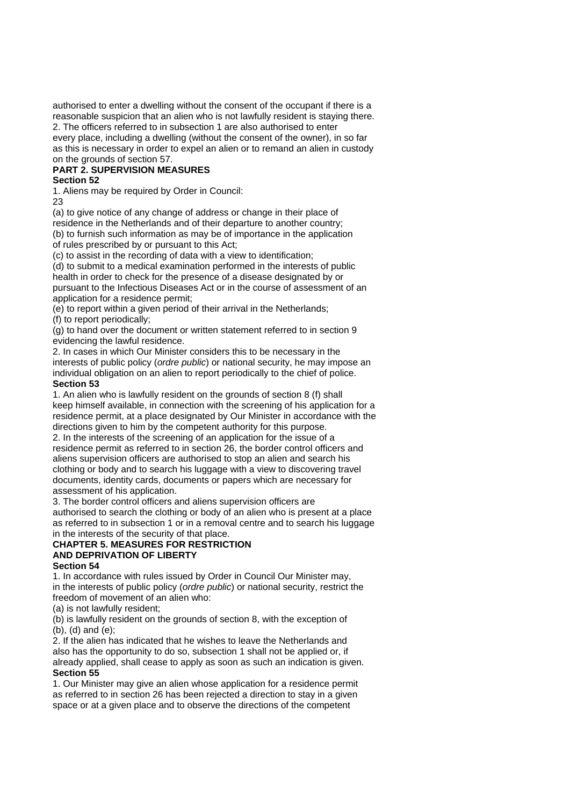authorised to enter a dwelling without the consent of the occupant if there is a reasonable suspicion that an alien who is not lawfully resident is staying there. 2. The officers referred to in subsection 1 are also authorised to enter every place, including a dwelling (without the consent of the owner), in so far as this is necessary in order to expel an alien or to remand an alien in custody on the grounds of section 57.

### **PART 2. SUPERVISION MEASURES**

### **Section 52**

1. Aliens may be required by Order in Council:

23

(a) to give notice of any change of address or change in their place of residence in the Netherlands and of their departure to another country; (b) to furnish such information as may be of importance in the application of rules prescribed by or pursuant to this Act;

(c) to assist in the recording of data with a view to identification;

(d) to submit to a medical examination performed in the interests of public health in order to check for the presence of a disease designated by or pursuant to the Infectious Diseases Act or in the course of assessment of an application for a residence permit;

(e) to report within a given period of their arrival in the Netherlands; (f) to report periodically;

(g) to hand over the document or written statement referred to in section 9 evidencing the lawful residence.

2. In cases in which Our Minister considers this to be necessary in the interests of public policy (*ordre public*) or national security, he may impose an individual obligation on an alien to report periodically to the chief of police. **Section 53** 

1. An alien who is lawfully resident on the grounds of section 8 (f) shall keep himself available, in connection with the screening of his application for a residence permit, at a place designated by Our Minister in accordance with the directions given to him by the competent authority for this purpose.

2. In the interests of the screening of an application for the issue of a residence permit as referred to in section 26, the border control officers and aliens supervision officers are authorised to stop an alien and search his clothing or body and to search his luggage with a view to discovering travel documents, identity cards, documents or papers which are necessary for assessment of his application.

3. The border control officers and aliens supervision officers are authorised to search the clothing or body of an alien who is present at a place as referred to in subsection 1 or in a removal centre and to search his luggage in the interests of the security of that place.

#### **CHAPTER 5. MEASURES FOR RESTRICTION AND DEPRIVATION OF LIBERTY Section 54**

1. In accordance with rules issued by Order in Council Our Minister may, in the interests of public policy (*ordre public*) or national security, restrict the freedom of movement of an alien who:

(a) is not lawfully resident;

(b) is lawfully resident on the grounds of section 8, with the exception of (b), (d) and (e);

2. If the alien has indicated that he wishes to leave the Netherlands and also has the opportunity to do so, subsection 1 shall not be applied or, if already applied, shall cease to apply as soon as such an indication is given. **Section 55** 

1. Our Minister may give an alien whose application for a residence permit as referred to in section 26 has been rejected a direction to stay in a given space or at a given place and to observe the directions of the competent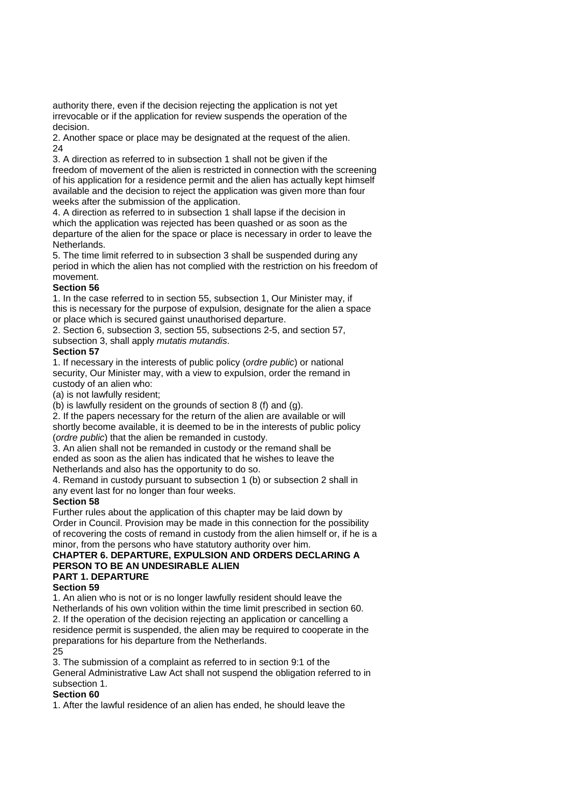authority there, even if the decision rejecting the application is not yet irrevocable or if the application for review suspends the operation of the decision.

2. Another space or place may be designated at the request of the alien.  $24$ 

3. A direction as referred to in subsection 1 shall not be given if the freedom of movement of the alien is restricted in connection with the screening of his application for a residence permit and the alien has actually kept himself available and the decision to reject the application was given more than four weeks after the submission of the application.

4. A direction as referred to in subsection 1 shall lapse if the decision in which the application was rejected has been quashed or as soon as the departure of the alien for the space or place is necessary in order to leave the Netherlands.

5. The time limit referred to in subsection 3 shall be suspended during any period in which the alien has not complied with the restriction on his freedom of movement.

### **Section 56**

1. In the case referred to in section 55, subsection 1, Our Minister may, if this is necessary for the purpose of expulsion, designate for the alien a space or place which is secured gainst unauthorised departure.

2. Section 6, subsection 3, section 55, subsections 2-5, and section 57, subsection 3, shall apply *mutatis mutandis*.

### **Section 57**

1. If necessary in the interests of public policy (*ordre public*) or national security, Our Minister may, with a view to expulsion, order the remand in custody of an alien who:

(a) is not lawfully resident;

(b) is lawfully resident on the grounds of section 8 (f) and (g).

2. If the papers necessary for the return of the alien are available or will shortly become available, it is deemed to be in the interests of public policy (*ordre public*) that the alien be remanded in custody.

3. An alien shall not be remanded in custody or the remand shall be ended as soon as the alien has indicated that he wishes to leave the Netherlands and also has the opportunity to do so.

4. Remand in custody pursuant to subsection 1 (b) or subsection 2 shall in any event last for no longer than four weeks.

### **Section 58**

Further rules about the application of this chapter may be laid down by Order in Council. Provision may be made in this connection for the possibility of recovering the costs of remand in custody from the alien himself or, if he is a minor, from the persons who have statutory authority over him.

#### **CHAPTER 6. DEPARTURE, EXPULSION AND ORDERS DECLARING A PERSON TO BE AN UNDESIRABLE ALIEN PART 1. DEPARTURE**

### **Section 59**

1. An alien who is not or is no longer lawfully resident should leave the Netherlands of his own volition within the time limit prescribed in section 60. 2. If the operation of the decision rejecting an application or cancelling a residence permit is suspended, the alien may be required to cooperate in the preparations for his departure from the Netherlands.  $25$ 

3. The submission of a complaint as referred to in section 9:1 of the General Administrative Law Act shall not suspend the obligation referred to in subsection 1.

### **Section 60**

1. After the lawful residence of an alien has ended, he should leave the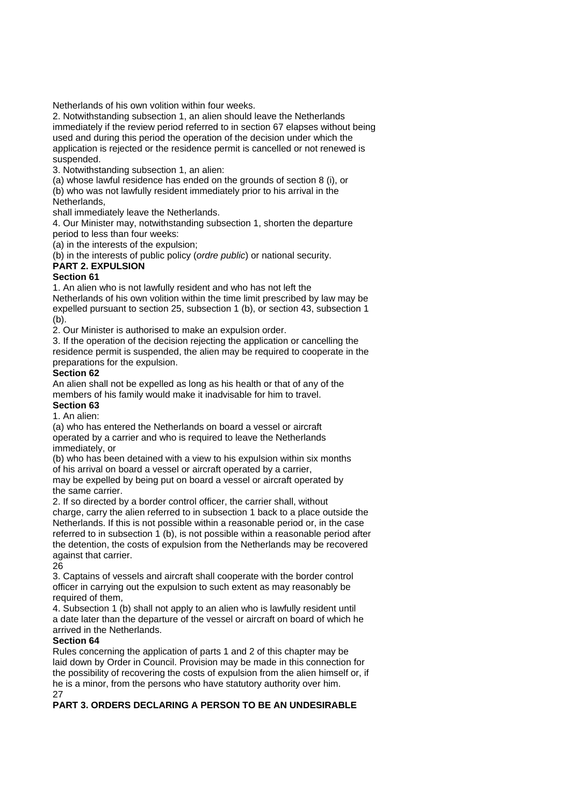Netherlands of his own volition within four weeks.

2. Notwithstanding subsection 1, an alien should leave the Netherlands immediately if the review period referred to in section 67 elapses without being used and during this period the operation of the decision under which the application is rejected or the residence permit is cancelled or not renewed is suspended.

3. Notwithstanding subsection 1, an alien:

(a) whose lawful residence has ended on the grounds of section 8 (i), or (b) who was not lawfully resident immediately prior to his arrival in the

Netherlands, shall immediately leave the Netherlands.

4. Our Minister may, notwithstanding subsection 1, shorten the departure period to less than four weeks:

(a) in the interests of the expulsion;

(b) in the interests of public policy (*ordre public*) or national security.

### **PART 2. EXPULSION**

### **Section 61**

1. An alien who is not lawfully resident and who has not left the

Netherlands of his own volition within the time limit prescribed by law may be expelled pursuant to section 25, subsection 1 (b), or section 43, subsection 1 (b).

2. Our Minister is authorised to make an expulsion order.

3. If the operation of the decision rejecting the application or cancelling the residence permit is suspended, the alien may be required to cooperate in the preparations for the expulsion.

### **Section 62**

An alien shall not be expelled as long as his health or that of any of the members of his family would make it inadvisable for him to travel.

**Section 63**  1. An alien:

(a) who has entered the Netherlands on board a vessel or aircraft operated by a carrier and who is required to leave the Netherlands immediately, or

(b) who has been detained with a view to his expulsion within six months of his arrival on board a vessel or aircraft operated by a carrier,

may be expelled by being put on board a vessel or aircraft operated by the same carrier.

2. If so directed by a border control officer, the carrier shall, without charge, carry the alien referred to in subsection 1 back to a place outside the Netherlands. If this is not possible within a reasonable period or, in the case referred to in subsection 1 (b), is not possible within a reasonable period after the detention, the costs of expulsion from the Netherlands may be recovered against that carrier.

26

3. Captains of vessels and aircraft shall cooperate with the border control officer in carrying out the expulsion to such extent as may reasonably be required of them,

4. Subsection 1 (b) shall not apply to an alien who is lawfully resident until a date later than the departure of the vessel or aircraft on board of which he arrived in the Netherlands.

### **Section 64**

Rules concerning the application of parts 1 and 2 of this chapter may be laid down by Order in Council. Provision may be made in this connection for the possibility of recovering the costs of expulsion from the alien himself or, if he is a minor, from the persons who have statutory authority over him. 27

**PART 3. ORDERS DECLARING A PERSON TO BE AN UNDESIRABLE**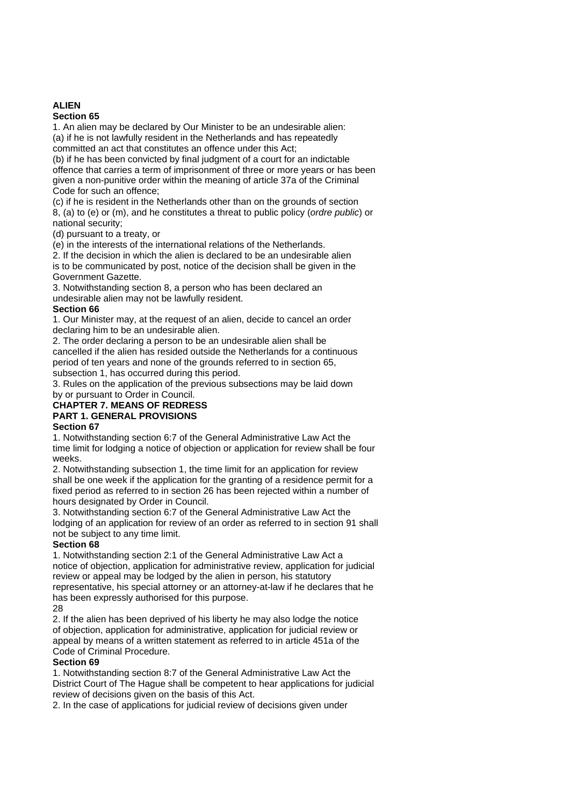# **ALIEN**

### **Section 65**

1. An alien may be declared by Our Minister to be an undesirable alien: (a) if he is not lawfully resident in the Netherlands and has repeatedly committed an act that constitutes an offence under this Act;

(b) if he has been convicted by final judgment of a court for an indictable offence that carries a term of imprisonment of three or more years or has been given a non-punitive order within the meaning of article 37a of the Criminal Code for such an offence;

(c) if he is resident in the Netherlands other than on the grounds of section 8, (a) to (e) or (m), and he constitutes a threat to public policy (*ordre public*) or national security;

(d) pursuant to a treaty, or

(e) in the interests of the international relations of the Netherlands.

2. If the decision in which the alien is declared to be an undesirable alien is to be communicated by post, notice of the decision shall be given in the Government Gazette.

3. Notwithstanding section 8, a person who has been declared an undesirable alien may not be lawfully resident.

### **Section 66**

1. Our Minister may, at the request of an alien, decide to cancel an order declaring him to be an undesirable alien.

2. The order declaring a person to be an undesirable alien shall be cancelled if the alien has resided outside the Netherlands for a continuous period of ten years and none of the grounds referred to in section 65, subsection 1, has occurred during this period.

3. Rules on the application of the previous subsections may be laid down

by or pursuant to Order in Council.

# **CHAPTER 7. MEANS OF REDRESS PART 1. GENERAL PROVISIONS**

### **Section 67**

1. Notwithstanding section 6:7 of the General Administrative Law Act the time limit for lodging a notice of objection or application for review shall be four weeks.

2. Notwithstanding subsection 1, the time limit for an application for review shall be one week if the application for the granting of a residence permit for a fixed period as referred to in section 26 has been rejected within a number of hours designated by Order in Council.

3. Notwithstanding section 6:7 of the General Administrative Law Act the lodging of an application for review of an order as referred to in section 91 shall not be subject to any time limit.

## **Section 68**

1. Notwithstanding section 2:1 of the General Administrative Law Act a notice of objection, application for administrative review, application for judicial review or appeal may be lodged by the alien in person, his statutory representative, his special attorney or an attorney-at-law if he declares that he has been expressly authorised for this purpose.

28

2. If the alien has been deprived of his liberty he may also lodge the notice of objection, application for administrative, application for judicial review or appeal by means of a written statement as referred to in article 451a of the Code of Criminal Procedure.

### **Section 69**

1. Notwithstanding section 8:7 of the General Administrative Law Act the District Court of The Hague shall be competent to hear applications for judicial review of decisions given on the basis of this Act.

2. In the case of applications for judicial review of decisions given under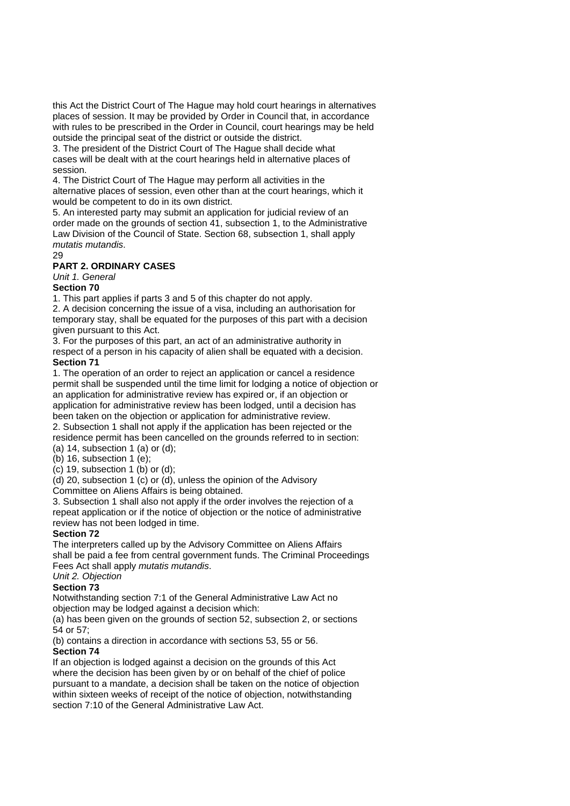this Act the District Court of The Hague may hold court hearings in alternatives places of session. It may be provided by Order in Council that, in accordance with rules to be prescribed in the Order in Council, court hearings may be held outside the principal seat of the district or outside the district.

3. The president of the District Court of The Hague shall decide what cases will be dealt with at the court hearings held in alternative places of session.

4. The District Court of The Hague may perform all activities in the alternative places of session, even other than at the court hearings, which it would be competent to do in its own district.

5. An interested party may submit an application for judicial review of an order made on the grounds of section 41, subsection 1, to the Administrative Law Division of the Council of State. Section 68, subsection 1, shall apply *mutatis mutandis*.

## 29

### **PART 2. ORDINARY CASES**

*Unit 1. General* 

### **Section 70**

1. This part applies if parts 3 and 5 of this chapter do not apply.

2. A decision concerning the issue of a visa, including an authorisation for temporary stay, shall be equated for the purposes of this part with a decision given pursuant to this Act.

3. For the purposes of this part, an act of an administrative authority in respect of a person in his capacity of alien shall be equated with a decision. **Section 71** 

1. The operation of an order to reject an application or cancel a residence permit shall be suspended until the time limit for lodging a notice of objection or an application for administrative review has expired or, if an objection or application for administrative review has been lodged, until a decision has been taken on the objection or application for administrative review.

2. Subsection 1 shall not apply if the application has been rejected or the residence permit has been cancelled on the grounds referred to in section:

 $(a)$  14, subsection 1  $(a)$  or  $(d)$ ; (b) 16, subsection 1 (e);

 $(c)$  19, subsection 1  $(b)$  or  $(d)$ ;

(d) 20, subsection 1 (c) or (d), unless the opinion of the Advisory

Committee on Aliens Affairs is being obtained.

3. Subsection 1 shall also not apply if the order involves the rejection of a repeat application or if the notice of objection or the notice of administrative review has not been lodged in time.

### **Section 72**

The interpreters called up by the Advisory Committee on Aliens Affairs shall be paid a fee from central government funds. The Criminal Proceedings Fees Act shall apply *mutatis mutandis*.

*Unit 2. Objection* 

### **Section 73**

Notwithstanding section 7:1 of the General Administrative Law Act no objection may be lodged against a decision which:

(a) has been given on the grounds of section 52, subsection 2, or sections 54 or 57;

(b) contains a direction in accordance with sections 53, 55 or 56. **Section 74** 

If an objection is lodged against a decision on the grounds of this Act where the decision has been given by or on behalf of the chief of police pursuant to a mandate, a decision shall be taken on the notice of objection within sixteen weeks of receipt of the notice of objection, notwithstanding section 7:10 of the General Administrative Law Act.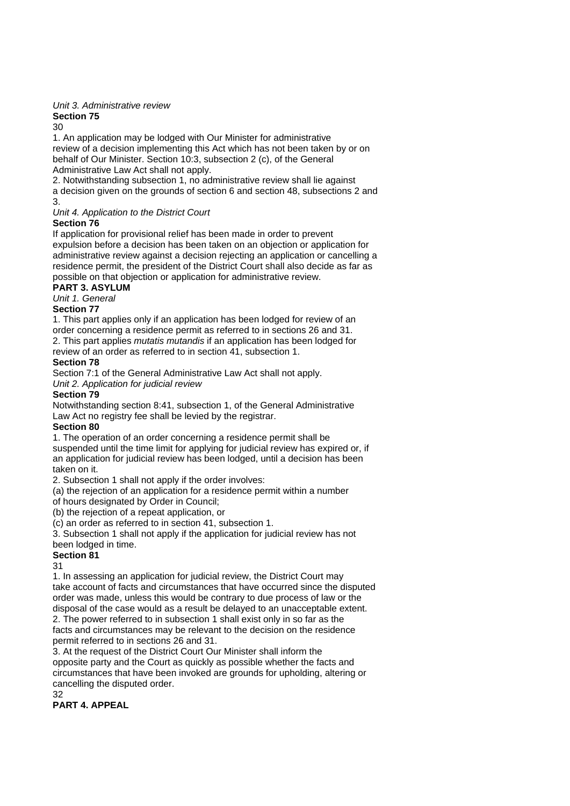# *Unit 3. Administrative review*

#### **Section 75**   $30$

1. An application may be lodged with Our Minister for administrative review of a decision implementing this Act which has not been taken by or on behalf of Our Minister. Section 10:3, subsection 2 (c), of the General Administrative Law Act shall not apply.

2. Notwithstanding subsection 1, no administrative review shall lie against a decision given on the grounds of section 6 and section 48, subsections 2 and 3.

*Unit 4. Application to the District Court* 

## **Section 76**

If application for provisional relief has been made in order to prevent expulsion before a decision has been taken on an objection or application for administrative review against a decision rejecting an application or cancelling a residence permit, the president of the District Court shall also decide as far as possible on that objection or application for administrative review.

**PART 3. ASYLUM** 

### *Unit 1. General*

### **Section 77**

1. This part applies only if an application has been lodged for review of an order concerning a residence permit as referred to in sections 26 and 31. 2. This part applies *mutatis mutandis* if an application has been lodged for

review of an order as referred to in section 41, subsection 1.

### **Section 78**

Section 7:1 of the General Administrative Law Act shall not apply.

*Unit 2. Application for judicial review* 

### **Section 79**

Notwithstanding section 8:41, subsection 1, of the General Administrative Law Act no registry fee shall be levied by the registrar.

## **Section 80**

1. The operation of an order concerning a residence permit shall be suspended until the time limit for applying for judicial review has expired or, if an application for judicial review has been lodged, until a decision has been taken on it.

2. Subsection 1 shall not apply if the order involves:

(a) the rejection of an application for a residence permit within a number

of hours designated by Order in Council;

(b) the rejection of a repeat application, or

(c) an order as referred to in section 41, subsection 1.

3. Subsection 1 shall not apply if the application for judicial review has not been lodged in time.

### **Section 81**

31

1. In assessing an application for judicial review, the District Court may take account of facts and circumstances that have occurred since the disputed order was made, unless this would be contrary to due process of law or the disposal of the case would as a result be delayed to an unacceptable extent. 2. The power referred to in subsection 1 shall exist only in so far as the facts and circumstances may be relevant to the decision on the residence permit referred to in sections 26 and 31.

3. At the request of the District Court Our Minister shall inform the opposite party and the Court as quickly as possible whether the facts and circumstances that have been invoked are grounds for upholding, altering or cancelling the disputed order. 32

# **PART 4. APPEAL**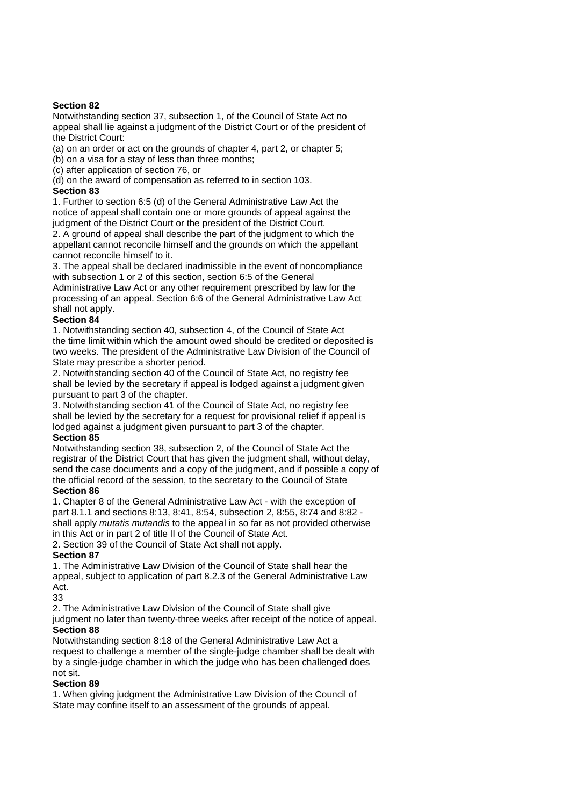### **Section 82**

Notwithstanding section 37, subsection 1, of the Council of State Act no appeal shall lie against a judgment of the District Court or of the president of the District Court:

(a) on an order or act on the grounds of chapter 4, part 2, or chapter 5;

(b) on a visa for a stay of less than three months;

(c) after application of section 76, or

(d) on the award of compensation as referred to in section 103.

### **Section 83**

1. Further to section 6:5 (d) of the General Administrative Law Act the notice of appeal shall contain one or more grounds of appeal against the judgment of the District Court or the president of the District Court.

2. A ground of appeal shall describe the part of the judgment to which the appellant cannot reconcile himself and the grounds on which the appellant cannot reconcile himself to it.

3. The appeal shall be declared inadmissible in the event of noncompliance with subsection 1 or 2 of this section, section 6:5 of the General Administrative Law Act or any other requirement prescribed by law for the processing of an appeal. Section 6:6 of the General Administrative Law Act

# shall not apply.

# **Section 84**

1. Notwithstanding section 40, subsection 4, of the Council of State Act the time limit within which the amount owed should be credited or deposited is two weeks. The president of the Administrative Law Division of the Council of State may prescribe a shorter period.

2. Notwithstanding section 40 of the Council of State Act, no registry fee shall be levied by the secretary if appeal is lodged against a judgment given pursuant to part 3 of the chapter.

3. Notwithstanding section 41 of the Council of State Act, no registry fee shall be levied by the secretary for a request for provisional relief if appeal is lodged against a judgment given pursuant to part 3 of the chapter. **Section 85** 

## Notwithstanding section 38, subsection 2, of the Council of State Act the registrar of the District Court that has given the judgment shall, without delay, send the case documents and a copy of the judgment, and if possible a copy of the official record of the session, to the secretary to the Council of State

#### **Section 86**

1. Chapter 8 of the General Administrative Law Act - with the exception of part 8.1.1 and sections 8:13, 8:41, 8:54, subsection 2, 8:55, 8:74 and 8:82 shall apply *mutatis mutandis* to the appeal in so far as not provided otherwise in this Act or in part 2 of title II of the Council of State Act.

2. Section 39 of the Council of State Act shall not apply.

### **Section 87**

1. The Administrative Law Division of the Council of State shall hear the appeal, subject to application of part 8.2.3 of the General Administrative Law Act.

33

2. The Administrative Law Division of the Council of State shall give

judgment no later than twenty-three weeks after receipt of the notice of appeal. **Section 88** 

Notwithstanding section 8:18 of the General Administrative Law Act a request to challenge a member of the single-judge chamber shall be dealt with by a single-judge chamber in which the judge who has been challenged does not sit.

### **Section 89**

1. When giving judgment the Administrative Law Division of the Council of State may confine itself to an assessment of the grounds of appeal.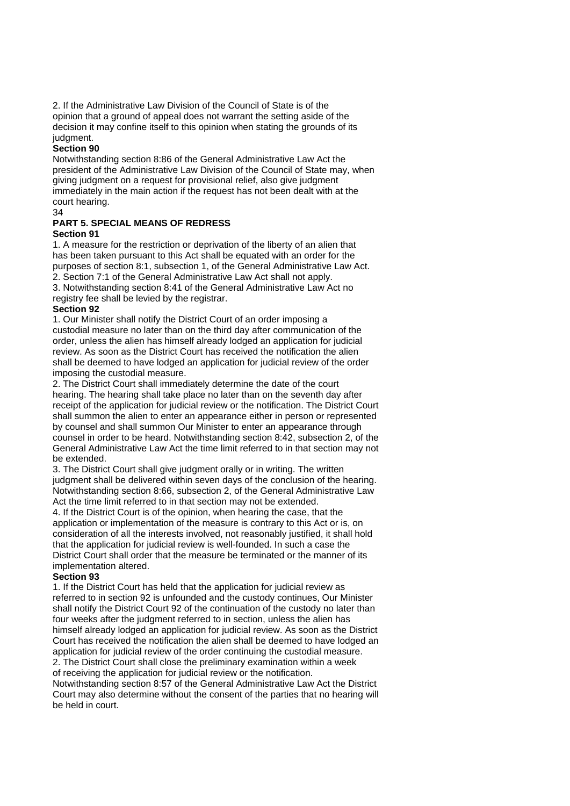2. If the Administrative Law Division of the Council of State is of the opinion that a ground of appeal does not warrant the setting aside of the decision it may confine itself to this opinion when stating the grounds of its judgment.

#### **Section 90**

Notwithstanding section 8:86 of the General Administrative Law Act the president of the Administrative Law Division of the Council of State may, when giving judgment on a request for provisional relief, also give judgment immediately in the main action if the request has not been dealt with at the court hearing.

34

# **PART 5. SPECIAL MEANS OF REDRESS**

### **Section 91**

1. A measure for the restriction or deprivation of the liberty of an alien that has been taken pursuant to this Act shall be equated with an order for the purposes of section 8:1, subsection 1, of the General Administrative Law Act. 2. Section 7:1 of the General Administrative Law Act shall not apply. 3. Notwithstanding section 8:41 of the General Administrative Law Act no registry fee shall be levied by the registrar.

### **Section 92**

1. Our Minister shall notify the District Court of an order imposing a custodial measure no later than on the third day after communication of the order, unless the alien has himself already lodged an application for judicial review. As soon as the District Court has received the notification the alien shall be deemed to have lodged an application for judicial review of the order imposing the custodial measure.

2. The District Court shall immediately determine the date of the court hearing. The hearing shall take place no later than on the seventh day after receipt of the application for judicial review or the notification. The District Court shall summon the alien to enter an appearance either in person or represented by counsel and shall summon Our Minister to enter an appearance through counsel in order to be heard. Notwithstanding section 8:42, subsection 2, of the General Administrative Law Act the time limit referred to in that section may not be extended.

3. The District Court shall give judgment orally or in writing. The written judgment shall be delivered within seven days of the conclusion of the hearing. Notwithstanding section 8:66, subsection 2, of the General Administrative Law Act the time limit referred to in that section may not be extended.

4. If the District Court is of the opinion, when hearing the case, that the application or implementation of the measure is contrary to this Act or is, on consideration of all the interests involved, not reasonably justified, it shall hold that the application for judicial review is well-founded. In such a case the District Court shall order that the measure be terminated or the manner of its implementation altered.

#### **Section 93**

1. If the District Court has held that the application for judicial review as referred to in section 92 is unfounded and the custody continues, Our Minister shall notify the District Court 92 of the continuation of the custody no later than four weeks after the judgment referred to in section, unless the alien has himself already lodged an application for judicial review. As soon as the District Court has received the notification the alien shall be deemed to have lodged an application for judicial review of the order continuing the custodial measure.

2. The District Court shall close the preliminary examination within a week of receiving the application for judicial review or the notification.

Notwithstanding section 8:57 of the General Administrative Law Act the District Court may also determine without the consent of the parties that no hearing will be held in court.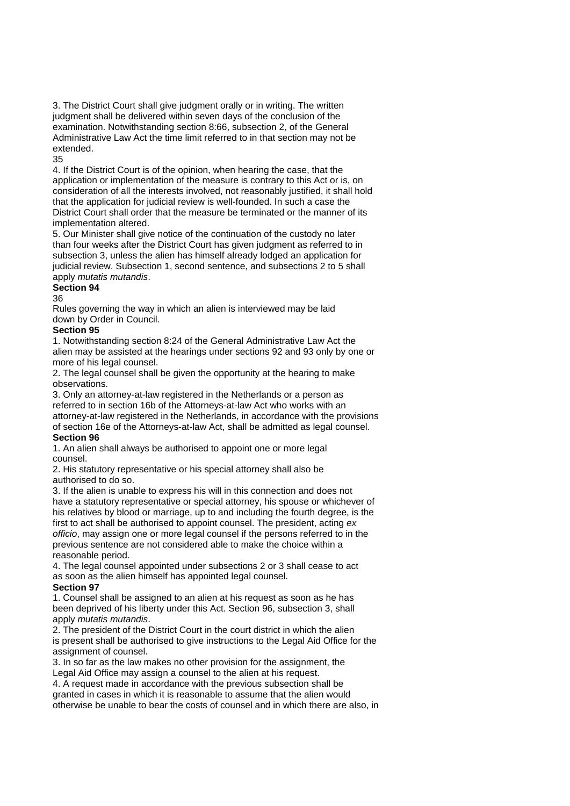3. The District Court shall give judgment orally or in writing. The written judgment shall be delivered within seven days of the conclusion of the examination. Notwithstanding section 8:66, subsection 2, of the General Administrative Law Act the time limit referred to in that section may not be extended.

35

4. If the District Court is of the opinion, when hearing the case, that the application or implementation of the measure is contrary to this Act or is, on consideration of all the interests involved, not reasonably justified, it shall hold that the application for judicial review is well-founded. In such a case the District Court shall order that the measure be terminated or the manner of its implementation altered.

5. Our Minister shall give notice of the continuation of the custody no later than four weeks after the District Court has given judgment as referred to in subsection 3, unless the alien has himself already lodged an application for judicial review. Subsection 1, second sentence, and subsections 2 to 5 shall apply *mutatis mutandis*.

### **Section 94**

36

Rules governing the way in which an alien is interviewed may be laid down by Order in Council.

### **Section 95**

1. Notwithstanding section 8:24 of the General Administrative Law Act the alien may be assisted at the hearings under sections 92 and 93 only by one or more of his legal counsel.

2. The legal counsel shall be given the opportunity at the hearing to make observations.

3. Only an attorney-at-law registered in the Netherlands or a person as referred to in section 16b of the Attorneys-at-law Act who works with an attorney-at-law registered in the Netherlands, in accordance with the provisions of section 16e of the Attorneys-at-law Act, shall be admitted as legal counsel. **Section 96** 

1. An alien shall always be authorised to appoint one or more legal counsel.

2. His statutory representative or his special attorney shall also be authorised to do so.

3. If the alien is unable to express his will in this connection and does not have a statutory representative or special attorney, his spouse or whichever of his relatives by blood or marriage, up to and including the fourth degree, is the first to act shall be authorised to appoint counsel. The president, acting *ex officio*, may assign one or more legal counsel if the persons referred to in the previous sentence are not considered able to make the choice within a reasonable period.

4. The legal counsel appointed under subsections 2 or 3 shall cease to act as soon as the alien himself has appointed legal counsel.

### **Section 97**

1. Counsel shall be assigned to an alien at his request as soon as he has been deprived of his liberty under this Act. Section 96, subsection 3, shall apply *mutatis mutandis*.

2. The president of the District Court in the court district in which the alien is present shall be authorised to give instructions to the Legal Aid Office for the assignment of counsel.

3. In so far as the law makes no other provision for the assignment, the Legal Aid Office may assign a counsel to the alien at his request.

4. A request made in accordance with the previous subsection shall be granted in cases in which it is reasonable to assume that the alien would otherwise be unable to bear the costs of counsel and in which there are also, in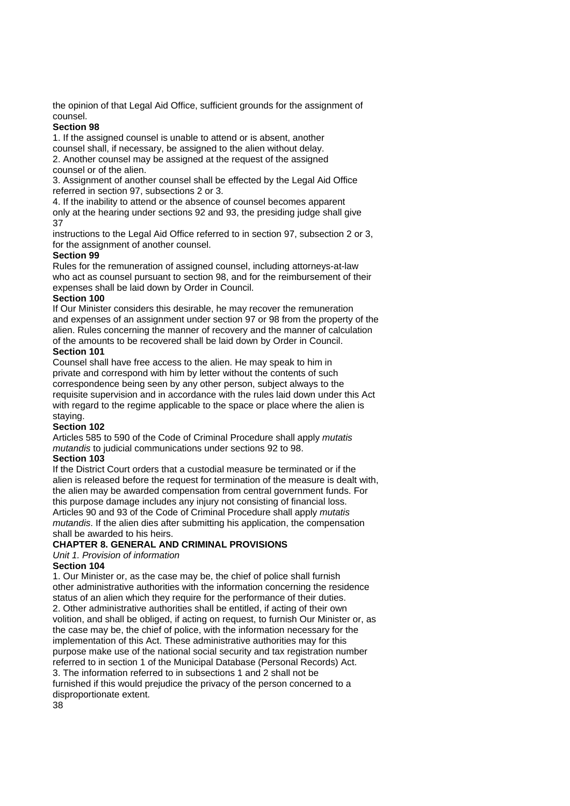the opinion of that Legal Aid Office, sufficient grounds for the assignment of counsel.

### **Section 98**

1. If the assigned counsel is unable to attend or is absent, another counsel shall, if necessary, be assigned to the alien without delay.

2. Another counsel may be assigned at the request of the assigned counsel or of the alien.

3. Assignment of another counsel shall be effected by the Legal Aid Office referred in section 97, subsections 2 or 3.

4. If the inability to attend or the absence of counsel becomes apparent only at the hearing under sections 92 and 93, the presiding judge shall give 37

instructions to the Legal Aid Office referred to in section 97, subsection 2 or 3, for the assignment of another counsel.

### **Section 99**

Rules for the remuneration of assigned counsel, including attorneys-at-law who act as counsel pursuant to section 98, and for the reimbursement of their expenses shall be laid down by Order in Council.

### **Section 100**

If Our Minister considers this desirable, he may recover the remuneration and expenses of an assignment under section 97 or 98 from the property of the alien. Rules concerning the manner of recovery and the manner of calculation of the amounts to be recovered shall be laid down by Order in Council.

### **Section 101**

Counsel shall have free access to the alien. He may speak to him in private and correspond with him by letter without the contents of such correspondence being seen by any other person, subject always to the requisite supervision and in accordance with the rules laid down under this Act with regard to the regime applicable to the space or place where the alien is staying.

### **Section 102**

Articles 585 to 590 of the Code of Criminal Procedure shall apply *mutatis mutandis* to judicial communications under sections 92 to 98.

### **Section 103**

If the District Court orders that a custodial measure be terminated or if the alien is released before the request for termination of the measure is dealt with, the alien may be awarded compensation from central government funds. For this purpose damage includes any injury not consisting of financial loss. Articles 90 and 93 of the Code of Criminal Procedure shall apply *mutatis mutandis*. If the alien dies after submitting his application, the compensation shall be awarded to his heirs.

### **CHAPTER 8. GENERAL AND CRIMINAL PROVISIONS**

### *Unit 1. Provision of information*

### **Section 104**

1. Our Minister or, as the case may be, the chief of police shall furnish other administrative authorities with the information concerning the residence status of an alien which they require for the performance of their duties. 2. Other administrative authorities shall be entitled, if acting of their own volition, and shall be obliged, if acting on request, to furnish Our Minister or, as the case may be, the chief of police, with the information necessary for the implementation of this Act. These administrative authorities may for this purpose make use of the national social security and tax registration number referred to in section 1 of the Municipal Database (Personal Records) Act. 3. The information referred to in subsections 1 and 2 shall not be furnished if this would prejudice the privacy of the person concerned to a disproportionate extent.

38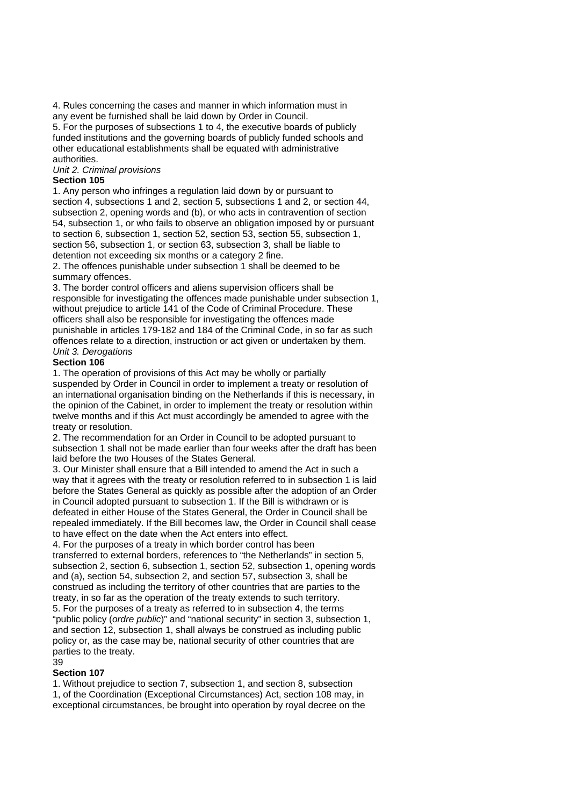4. Rules concerning the cases and manner in which information must in any event be furnished shall be laid down by Order in Council. 5. For the purposes of subsections 1 to 4, the executive boards of publicly funded institutions and the governing boards of publicly funded schools and other educational establishments shall be equated with administrative authorities.

*Unit 2. Criminal provisions* 

### **Section 105**

1. Any person who infringes a regulation laid down by or pursuant to section 4, subsections 1 and 2, section 5, subsections 1 and 2, or section 44, subsection 2, opening words and (b), or who acts in contravention of section 54, subsection 1, or who fails to observe an obligation imposed by or pursuant to section 6, subsection 1, section 52, section 53, section 55, subsection 1, section 56, subsection 1, or section 63, subsection 3, shall be liable to detention not exceeding six months or a category 2 fine.

2. The offences punishable under subsection 1 shall be deemed to be summary offences.

3. The border control officers and aliens supervision officers shall be responsible for investigating the offences made punishable under subsection 1, without prejudice to article 141 of the Code of Criminal Procedure. These officers shall also be responsible for investigating the offences made punishable in articles 179-182 and 184 of the Criminal Code, in so far as such offences relate to a direction, instruction or act given or undertaken by them. *Unit 3. Derogations* 

### **Section 106**

1. The operation of provisions of this Act may be wholly or partially suspended by Order in Council in order to implement a treaty or resolution of an international organisation binding on the Netherlands if this is necessary, in the opinion of the Cabinet, in order to implement the treaty or resolution within twelve months and if this Act must accordingly be amended to agree with the treaty or resolution.

2. The recommendation for an Order in Council to be adopted pursuant to subsection 1 shall not be made earlier than four weeks after the draft has been laid before the two Houses of the States General.

3. Our Minister shall ensure that a Bill intended to amend the Act in such a way that it agrees with the treaty or resolution referred to in subsection 1 is laid before the States General as quickly as possible after the adoption of an Order in Council adopted pursuant to subsection 1. If the Bill is withdrawn or is defeated in either House of the States General, the Order in Council shall be repealed immediately. If the Bill becomes law, the Order in Council shall cease to have effect on the date when the Act enters into effect.

4. For the purposes of a treaty in which border control has been transferred to external borders, references to "the Netherlands" in section 5, subsection 2, section 6, subsection 1, section 52, subsection 1, opening words and (a), section 54, subsection 2, and section 57, subsection 3, shall be construed as including the territory of other countries that are parties to the treaty, in so far as the operation of the treaty extends to such territory. 5. For the purposes of a treaty as referred to in subsection 4, the terms "public policy (*ordre public*)" and "national security" in section 3, subsection 1, and section 12, subsection 1, shall always be construed as including public policy or, as the case may be, national security of other countries that are parties to the treaty. 39

### **Section 107**

1. Without prejudice to section 7, subsection 1, and section 8, subsection 1, of the Coordination (Exceptional Circumstances) Act, section 108 may, in exceptional circumstances, be brought into operation by royal decree on the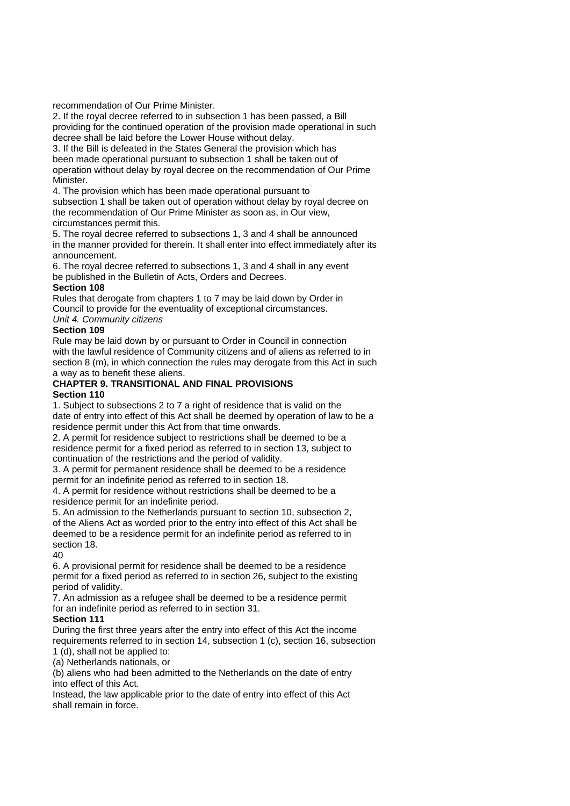recommendation of Our Prime Minister.

2. If the royal decree referred to in subsection 1 has been passed, a Bill providing for the continued operation of the provision made operational in such decree shall be laid before the Lower House without delay.

3. If the Bill is defeated in the States General the provision which has been made operational pursuant to subsection 1 shall be taken out of operation without delay by royal decree on the recommendation of Our Prime Minister.

4. The provision which has been made operational pursuant to subsection 1 shall be taken out of operation without delay by royal decree on the recommendation of Our Prime Minister as soon as, in Our view, circumstances permit this.

5. The royal decree referred to subsections 1, 3 and 4 shall be announced in the manner provided for therein. It shall enter into effect immediately after its announcement.

6. The royal decree referred to subsections 1, 3 and 4 shall in any event be published in the Bulletin of Acts, Orders and Decrees.

### **Section 108**

Rules that derogate from chapters 1 to 7 may be laid down by Order in Council to provide for the eventuality of exceptional circumstances. *Unit 4. Community citizens* 

# **Section 109**

Rule may be laid down by or pursuant to Order in Council in connection with the lawful residence of Community citizens and of aliens as referred to in section 8 (m), in which connection the rules may derogate from this Act in such a way as to benefit these aliens.

#### **CHAPTER 9. TRANSITIONAL AND FINAL PROVISIONS Section 110**

1. Subject to subsections 2 to 7 a right of residence that is valid on the date of entry into effect of this Act shall be deemed by operation of law to be a residence permit under this Act from that time onwards.

2. A permit for residence subject to restrictions shall be deemed to be a residence permit for a fixed period as referred to in section 13, subject to continuation of the restrictions and the period of validity.

3. A permit for permanent residence shall be deemed to be a residence permit for an indefinite period as referred to in section 18.

4. A permit for residence without restrictions shall be deemed to be a residence permit for an indefinite period.

5. An admission to the Netherlands pursuant to section 10, subsection 2, of the Aliens Act as worded prior to the entry into effect of this Act shall be deemed to be a residence permit for an indefinite period as referred to in section 18.

40

6. A provisional permit for residence shall be deemed to be a residence permit for a fixed period as referred to in section 26, subject to the existing period of validity.

7. An admission as a refugee shall be deemed to be a residence permit for an indefinite period as referred to in section 31.

### **Section 111**

During the first three years after the entry into effect of this Act the income requirements referred to in section 14, subsection 1 (c), section 16, subsection 1 (d), shall not be applied to:

(a) Netherlands nationals, or

(b) aliens who had been admitted to the Netherlands on the date of entry into effect of this Act.

Instead, the law applicable prior to the date of entry into effect of this Act shall remain in force.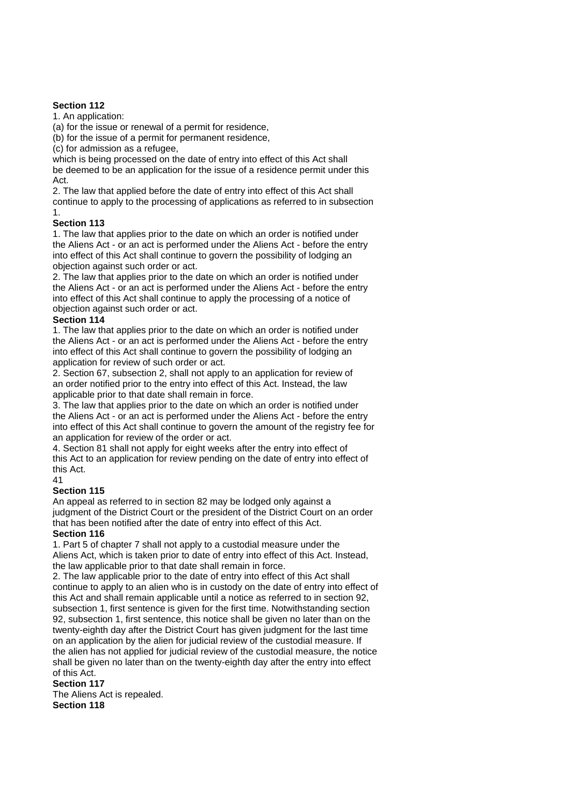### **Section 112**

1. An application:

(a) for the issue or renewal of a permit for residence,

(b) for the issue of a permit for permanent residence,

(c) for admission as a refugee,

which is being processed on the date of entry into effect of this Act shall be deemed to be an application for the issue of a residence permit under this Act.

2. The law that applied before the date of entry into effect of this Act shall continue to apply to the processing of applications as referred to in subsection 1.

### **Section 113**

1. The law that applies prior to the date on which an order is notified under the Aliens Act - or an act is performed under the Aliens Act - before the entry into effect of this Act shall continue to govern the possibility of lodging an objection against such order or act.

2. The law that applies prior to the date on which an order is notified under the Aliens Act - or an act is performed under the Aliens Act - before the entry into effect of this Act shall continue to apply the processing of a notice of objection against such order or act.

### **Section 114**

1. The law that applies prior to the date on which an order is notified under the Aliens Act - or an act is performed under the Aliens Act - before the entry into effect of this Act shall continue to govern the possibility of lodging an application for review of such order or act.

2. Section 67, subsection 2, shall not apply to an application for review of an order notified prior to the entry into effect of this Act. Instead, the law applicable prior to that date shall remain in force.

3. The law that applies prior to the date on which an order is notified under the Aliens Act - or an act is performed under the Aliens Act - before the entry into effect of this Act shall continue to govern the amount of the registry fee for an application for review of the order or act.

4. Section 81 shall not apply for eight weeks after the entry into effect of this Act to an application for review pending on the date of entry into effect of this Act.

41

### **Section 115**

An appeal as referred to in section 82 may be lodged only against a judgment of the District Court or the president of the District Court on an order that has been notified after the date of entry into effect of this Act.

### **Section 116**

1. Part 5 of chapter 7 shall not apply to a custodial measure under the Aliens Act, which is taken prior to date of entry into effect of this Act. Instead, the law applicable prior to that date shall remain in force.

2. The law applicable prior to the date of entry into effect of this Act shall continue to apply to an alien who is in custody on the date of entry into effect of this Act and shall remain applicable until a notice as referred to in section 92, subsection 1, first sentence is given for the first time. Notwithstanding section 92, subsection 1, first sentence, this notice shall be given no later than on the twenty-eighth day after the District Court has given judgment for the last time on an application by the alien for judicial review of the custodial measure. If the alien has not applied for judicial review of the custodial measure, the notice shall be given no later than on the twenty-eighth day after the entry into effect of this Act.

### **Section 117**

The Aliens Act is repealed. **Section 118**